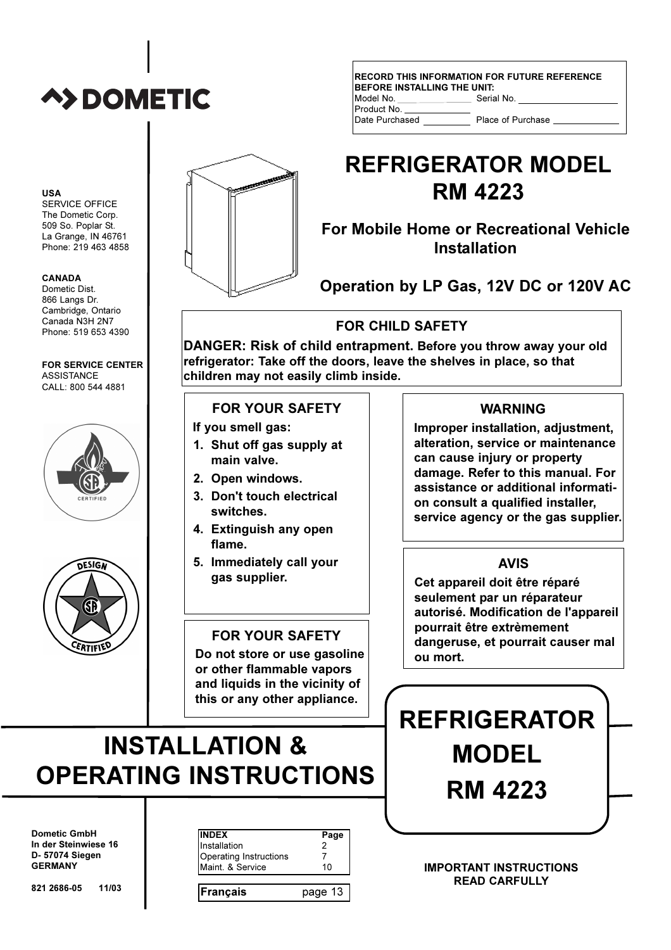# **A>DOMETIC**

**USA** 

SERVICE OFFICE The Dometic Corp. 509 So. Poplar St. La Grange, IN 46761 Phone: 219 463 4858

#### **CANADA**

Dometic Dist. 866 Langs Dr. Cambridge, Ontario Canada N3H 2N7 Phone: 519 653 4390

#### **FOR SERVICE CENTER ASSISTANCE** CALL: 800 544 4881





#### **RECORD THIS INFORMATION FOR FUTURE REFERENCE BEFORE INSTALLING THE UNIT:** Model No Serial No Product No

Date Purchased

Place of Purchase

# **REFRIGERATOR MODEL RM 4223**

For Mobile Home or Recreational Vehicle **Installation** 

Operation by LP Gas, 12V DC or 120V AC

### **FOR CHILD SAFETY**

DANGER: Risk of child entrapment. Before you throw away your old refrigerator: Take off the doors, leave the shelves in place, so that children may not easily climb inside.

### **FOR YOUR SAFETY**

If you smell gas:

- 1. Shut off gas supply at main valve.
- 2. Open windows.
- 3. Don't touch electrical switches.
- 4. Extinguish any open flame.
- 5. Immediately call your gas supplier.

### **FOR YOUR SAFETY**

Do not store or use gasoline or other flammable vapors and liquids in the vicinity of

# this or any other appliance.

# **INSTALLATION & OPERATING INSTRUCTIONS**

**Dometic GmbH** In der Steinwiese 16 D- 57074 Siegen **GERMANY** 

| Installation                               | Page |
|--------------------------------------------|------|
| Operating Instructions<br>Maint, & Service | 11   |

#### **WARNING**

Improper installation, adjustment, alteration, service or maintenance can cause injury or property damage. Refer to this manual. For assistance or additional information consult a qualified installer, service agency or the gas supplier.

### **AVIS**

Cet appareil doit être réparé seulement par un réparateur autorisé. Modification de l'appareil pourrait être extrèmement dangeruse, et pourrait causer mal ou mort.

# **REFRIGERATOR MODEL RM 4223**

**IMPORTANT INSTRUCTIONS READ CARFULLY** 

821 2686-05  $11/03$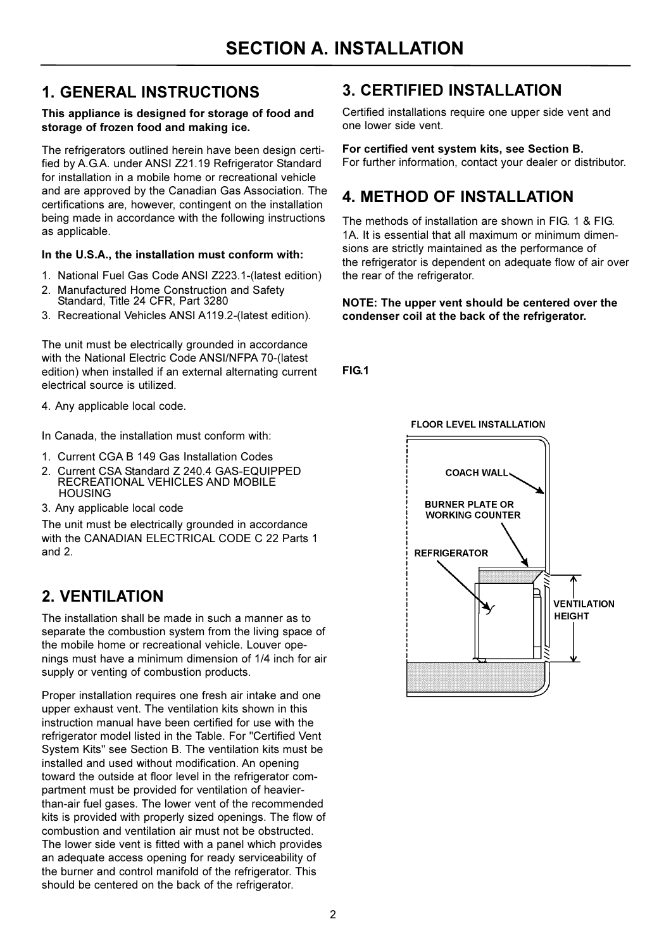### **1. GENERAL INSTRUCTIONS**

#### This appliance is designed for storage of food and storage of frozen food and making ice.

The refrigerators outlined herein have been design certified by A.G.A. under ANSI Z21.19 Refrigerator Standard for installation in a mobile home or recreational vehicle and are approved by the Canadian Gas Association. The certifications are, however, contingent on the installation being made in accordance with the following instructions as applicable.

#### In the U.S.A., the installation must conform with:

- 1. National Fuel Gas Code ANSI Z223.1-(latest edition)
- 2. Manufactured Home Construction and Safety Standard, Title 24 CFR, Part 3280
- 3. Recreational Vehicles ANSI A119.2-(latest edition).

The unit must be electrically grounded in accordance with the National Electric Code ANSI/NFPA 70-(latest edition) when installed if an external alternating current electrical source is utilized.

4. Any applicable local code.

In Canada, the installation must conform with:

- 1. Current CGA B 149 Gas Installation Codes
- 2. Current CSA Standard Z 240.4 GAS-EQUIPPED RECREATIONAL VEHICLES AND MOBILE **HOUSING**
- 3. Any applicable local code

The unit must be electrically grounded in accordance with the CANADIAN ELECTRICAL CODE C 22 Parts 1 and  $2$ 

### **2. VENTILATION**

The installation shall be made in such a manner as to separate the combustion system from the living space of the mobile home or recreational vehicle. Louver openings must have a minimum dimension of 1/4 inch for air supply or venting of combustion products.

Proper installation requires one fresh air intake and one upper exhaust vent. The ventilation kits shown in this instruction manual have been certified for use with the refrigerator model listed in the Table. For "Certified Vent System Kits" see Section B. The ventilation kits must be installed and used without modification. An opening toward the outside at floor level in the refrigerator compartment must be provided for ventilation of heavierthan-air fuel gases. The lower vent of the recommended kits is provided with properly sized openings. The flow of combustion and ventilation air must not be obstructed. The lower side vent is fitted with a panel which provides an adequate access opening for ready serviceability of the burner and control manifold of the refrigerator. This should be centered on the back of the refrigerator.

### **3. CERTIFIED INSTALLATION**

Certified installations require one upper side vent and one lower side vent.

#### For certified vent system kits, see Section B.

For further information, contact your dealer or distributor.

### **4. METHOD OF INSTALLATION**

The methods of installation are shown in FIG 1 & FIG. 1A. It is essential that all maximum or minimum dimensions are strictly maintained as the performance of the refrigerator is dependent on adequate flow of air over the rear of the refrigerator.

#### NOTE: The upper vent should be centered over the condenser coil at the back of the refrigerator.

**FIG.1** 

**FLOOR LEVEL INSTALLATION** 

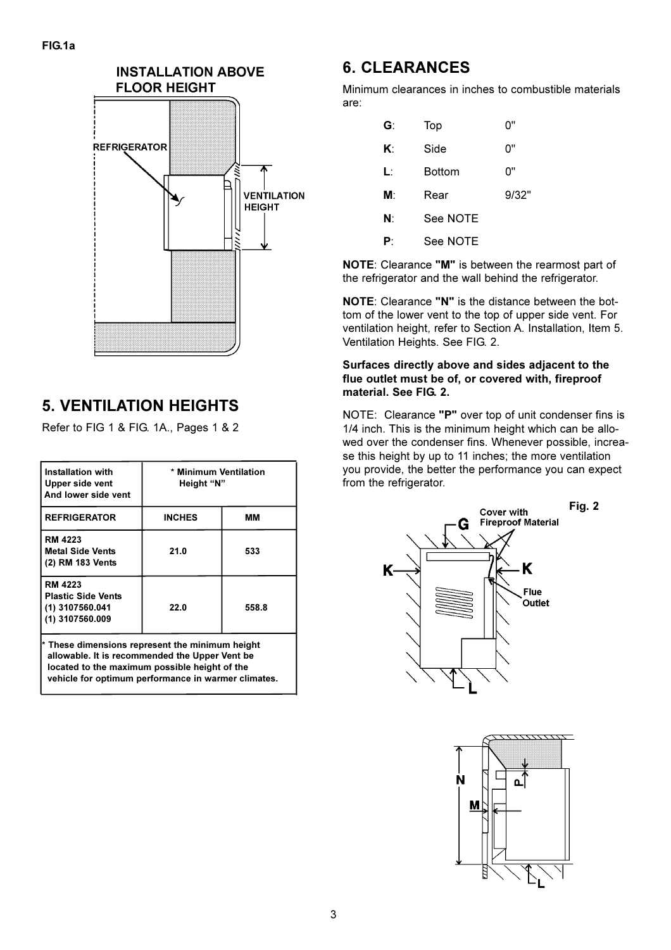

### **5. VENTILATION HEIGHTS**

Refer to FIG 1 & FIG. 1A., Pages 1 & 2

| * Minimum Ventilation<br>Height "N" |       |  |  |
|-------------------------------------|-------|--|--|
| <b>INCHES</b>                       | мм    |  |  |
| 21.0                                | 533   |  |  |
| 22.0                                | 558.8 |  |  |
|                                     |       |  |  |

These dimensions represent the minimum height allowable. It is recommended the Upper Vent be located to the maximum possible height of the vehicle for optimum performance in warmer climates.

### **6. CLEARANCES**

Minimum clearances in inches to combustible materials are:

| G: | Top      | י'0   |
|----|----------|-------|
| K۰ | Side     | 0"    |
| Ŀ  | Bottom   | 0"    |
| M: | Rear     | 9/32' |
| N: | See NOTE |       |
| P۰ | See NOTE |       |

NOTE: Clearance "M" is between the rearmost part of the refrigerator and the wall behind the refrigerator.

NOTE: Clearance "N" is the distance between the bottom of the lower vent to the top of upper side vent. For ventilation height, refer to Section A. Installation, Item 5. Ventilation Heights. See FIG. 2.

#### Surfaces directly above and sides adjacent to the flue outlet must be of, or covered with, fireproof material. See FIG. 2.

NOTE: Clearance "P" over top of unit condenser fins is 1/4 inch. This is the minimum height which can be allowed over the condenser fins. Whenever possible, increase this height by up to 11 inches; the more ventilation you provide, the better the performance you can expect from the refrigerator.



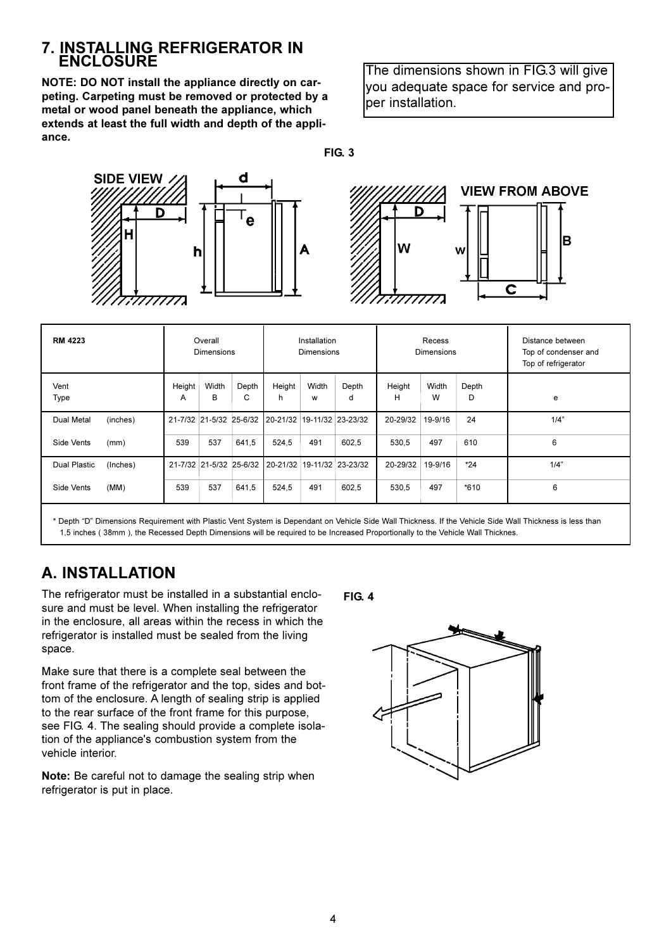### 7. INSTALLING REFRIGERATOR IN **FNCI OSURF**

NOTE: DO NOT install the appliance directly on carpeting. Carpeting must be removed or protected by a metal or wood panel beneath the appliance, which extends at least the full width and depth of the appliance.

The dimensions shown in FIG.3 will give you adequate space for service and proper installation.

 $FIG. 3$ 



| <b>RM 4223</b>                | Overall<br><b>Dimensions</b>            | Installation<br><b>Dimensions</b>                  | Recess<br><b>Dimensions</b>             | Distance between<br>Top of condenser and<br>Top of refrigerator |
|-------------------------------|-----------------------------------------|----------------------------------------------------|-----------------------------------------|-----------------------------------------------------------------|
| Vent<br>Type                  | Height<br>Width<br>Depth<br>B<br>C<br>A | Width<br>Height<br>Depth<br>h<br>d<br>w            | Width<br>Height<br>Depth<br>н<br>W<br>D | e                                                               |
| <b>Dual Metal</b><br>(inches) |                                         | 21-7/32 21-5/32 25-6/32 20-21/32 19-11/32 23-23/32 | 24<br>20-29/32<br>19-9/16               | 1/4"                                                            |
| Side Vents<br>(mm)            | 537<br>539<br>641,5                     | 602,5<br>524,5<br>491                              | 497<br>610<br>530,5                     | 6                                                               |
| (Inches)<br>Dual Plastic      |                                         | 21-7/32 21-5/32 25-6/32 20-21/32 19-11/32 23-23/32 | $*24$<br>20-29/32<br>19-9/16            | 1/4"                                                            |
| (MM)<br>Side Vents            | 539<br>537<br>641,5                     | 524,5<br>491<br>602,5                              | 497<br>$*610$<br>530,5                  | 6                                                               |
|                               |                                         |                                                    |                                         |                                                                 |

\* Depth "D" Dimensions Requirement with Plastic Vent System is Dependant on Vehicle Side Wall Thickness. If the Vehicle Side Wall Thickness is less than 1,5 inches (38mm), the Recessed Depth Dimensions will be required to be Increased Proportionally to the Vehicle Wall Thicknes.

### **A. INSTALLATION**

The refrigerator must be installed in a substantial enclosure and must be level. When installing the refrigerator in the enclosure, all areas within the recess in which the refrigerator is installed must be sealed from the living space.

Make sure that there is a complete seal between the front frame of the refrigerator and the top, sides and bottom of the enclosure. A length of sealing strip is applied to the rear surface of the front frame for this purpose. see FIG. 4. The sealing should provide a complete isolation of the appliance's combustion system from the vehicle interior.

Note: Be careful not to damage the sealing strip when refrigerator is put in place.

**FIG. 4** 

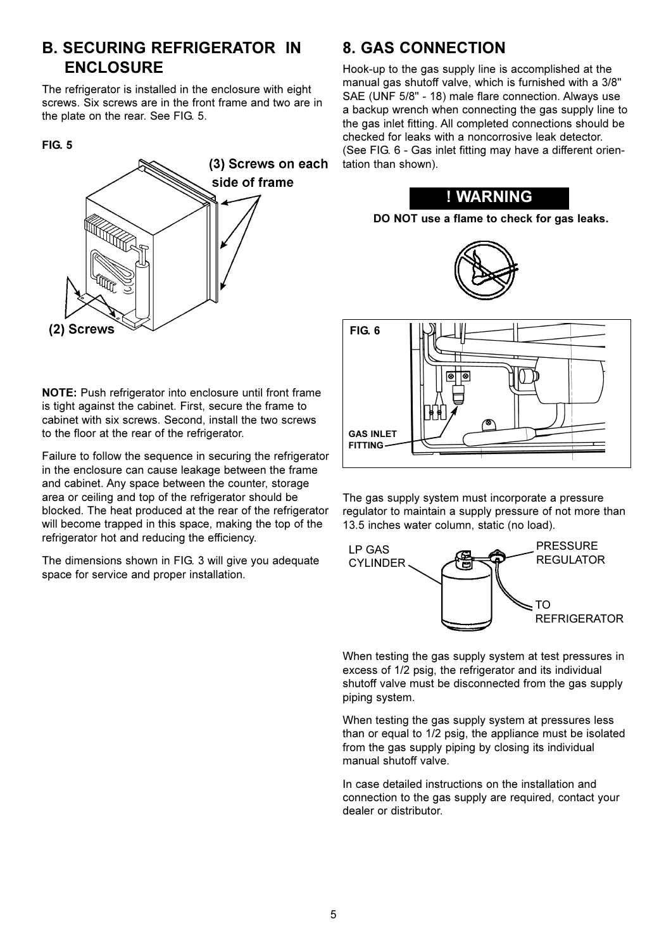### **B. SECURING REFRIGERATOR IN ENCLOSURE**

The refrigerator is installed in the enclosure with eight screws. Six screws are in the front frame and two are in the plate on the rear. See FIG. 5.

#### **FIG. 5**



NOTE: Push refrigerator into enclosure until front frame is tight against the cabinet. First, secure the frame to cabinet with six screws. Second, install the two screws to the floor at the rear of the refrigerator.

Failure to follow the sequence in securing the refrigerator in the enclosure can cause leakage between the frame and cabinet. Any space between the counter, storage area or ceiling and top of the refrigerator should be blocked. The heat produced at the rear of the refrigerator will become trapped in this space, making the top of the refrigerator hot and reducing the efficiency.

The dimensions shown in FIG. 3 will give you adequate space for service and proper installation.

### **8. GAS CONNECTION**

Hook-up to the gas supply line is accomplished at the manual gas shutoff valve, which is furnished with a 3/8" SAE (UNF 5/8" - 18) male flare connection. Always use a backup wrench when connecting the gas supply line to the gas inlet fitting. All completed connections should be checked for leaks with a noncorrosive leak detector. (See FIG. 6 - Gas inlet fitting may have a different orientation than shown).









The gas supply system must incorporate a pressure regulator to maintain a supply pressure of not more than 13.5 inches water column, static (no load).



When testing the gas supply system at test pressures in excess of 1/2 psig, the refrigerator and its individual shutoff valve must be disconnected from the gas supply piping system.

When testing the gas supply system at pressures less than or equal to 1/2 psig, the appliance must be isolated from the gas supply piping by closing its individual manual shutoff valve.

In case detailed instructions on the installation and connection to the gas supply are required, contact your dealer or distributor.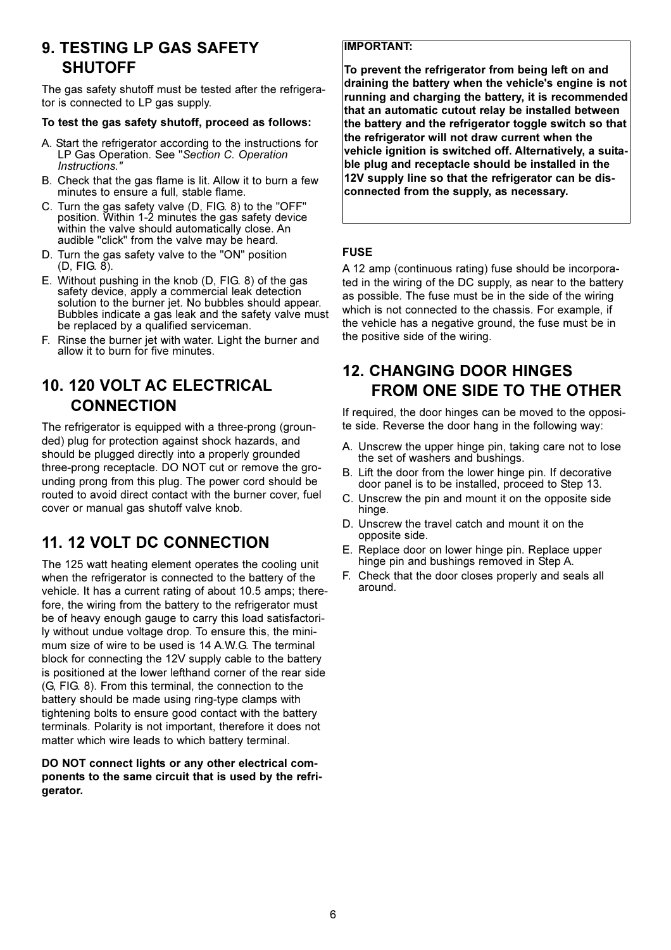### **9. TESTING LP GAS SAFETY SHUTOFF**

The gas safety shutoff must be tested after the refrigerator is connected to LP gas supply.

#### To test the gas safety shutoff, proceed as follows:

- A. Start the refrigerator according to the instructions for LP Gas Operation. See "Section C. Operation Instructions.'
- B. Check that the gas flame is lit. Allow it to burn a few minutes to ensure a full, stable flame.
- C. Turn the gas safety valve (D, FIG. 8) to the "OFF" position. Within 1-2 minutes the gas safety device within the valve should automatically close. An audible "click" from the valve may be heard.
- D. Turn the gas safety valve to the "ON" position  $(D, FIG. 8).$
- E. Without pushing in the knob (D, FIG. 8) of the gas safety device, apply a commercial leak detection solution to the burner jet. No bubbles should appear. Bubbles indicate a gas leak and the safety valve must be replaced by a qualified serviceman.
- F. Rinse the burner jet with water. Light the burner and allow it to burn for five minutes.

### 10. 120 VOLT AC ELECTRICAL **CONNECTION**

The refrigerator is equipped with a three-prong (grounded) plug for protection against shock hazards, and should be plugged directly into a properly grounded three-prong receptacle. DO NOT cut or remove the grounding prong from this plug. The power cord should be routed to avoid direct contact with the burner cover, fuel cover or manual gas shutoff valve knob.

### **11. 12 VOLT DC CONNECTION**

The 125 watt heating element operates the cooling unit when the refrigerator is connected to the battery of the vehicle. It has a current rating of about 10.5 amps; therefore, the wiring from the battery to the refrigerator must be of heavy enough gauge to carry this load satisfactorily without undue voltage drop. To ensure this, the minimum size of wire to be used is 14 A.W.G. The terminal block for connecting the 12V supply cable to the battery is positioned at the lower lefthand corner of the rear side (G, FIG. 8). From this terminal, the connection to the battery should be made using ring-type clamps with tightening bolts to ensure good contact with the battery terminals. Polarity is not important, therefore it does not matter which wire leads to which battery terminal.

#### DO NOT connect lights or any other electrical components to the same circuit that is used by the refrigerator.

#### **IMPORTANT:**

To prevent the refrigerator from being left on and draining the battery when the vehicle's engine is not running and charging the battery, it is recommended that an automatic cutout relay be installed between the battery and the refrigerator toggle switch so that the refrigerator will not draw current when the vehicle ignition is switched off. Alternatively, a suitable plug and receptacle should be installed in the 12V supply line so that the refrigerator can be disconnected from the supply, as necessary.

#### **FUSE**

A 12 amp (continuous rating) fuse should be incorporated in the wiring of the DC supply, as near to the battery as possible. The fuse must be in the side of the wiring which is not connected to the chassis. For example, if the vehicle has a negative ground, the fuse must be in the positive side of the wiring.

### **12. CHANGING DOOR HINGES FROM ONE SIDE TO THE OTHER**

If required, the door hinges can be moved to the opposite side. Reverse the door hang in the following way:

- A. Unscrew the upper hinge pin, taking care not to lose the set of washers and bushings.
- B. Lift the door from the lower hinge pin. If decorative door panel is to be installed, proceed to Step 13.
- C. Unscrew the pin and mount it on the opposite side hinge.
- D. Unscrew the travel catch and mount it on the opposite side.
- E. Replace door on lower hinge pin. Replace upper hinge pin and bushings removed in Step A.
- F. Check that the door closes properly and seals all around.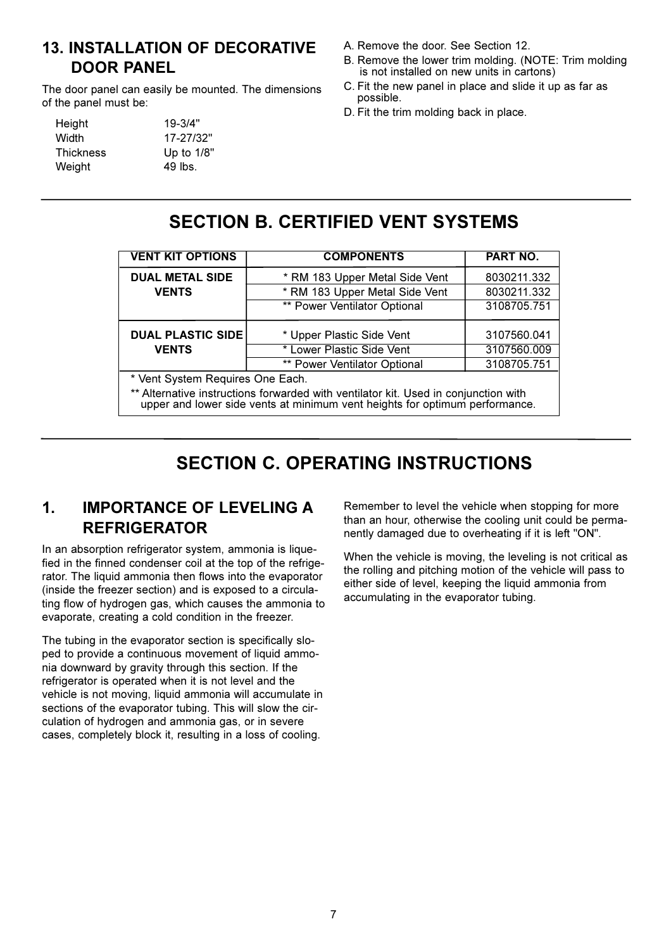### **13. INSTALLATION OF DECORATIVE DOOR PANEL**

The door panel can easily be mounted. The dimensions of the panel must be:

| Height           | $19 - 3/4"$ |
|------------------|-------------|
| Width            | 17-27/32"   |
| <b>Thickness</b> | Up to 1/8"  |
| Weight           | $49$ lbs.   |
|                  |             |

- A. Remove the door. See Section 12.
- B. Remove the lower trim molding. (NOTE: Trim molding is not installed on new units in cartons)
- C. Fit the new panel in place and slide it up as far as possible.
- D. Fit the trim molding back in place.

### **SECTION B. CERTIFIED VENT SYSTEMS**

| <b>VENT KIT OPTIONS</b>                                                                                                                                            | <b>COMPONENTS</b>                   | PART NO.    |  |  |  |  |  |
|--------------------------------------------------------------------------------------------------------------------------------------------------------------------|-------------------------------------|-------------|--|--|--|--|--|
| <b>DUAL METAL SIDE</b>                                                                                                                                             | * RM 183 Upper Metal Side Vent      | 8030211.332 |  |  |  |  |  |
| <b>VENTS</b>                                                                                                                                                       | * RM 183 Upper Metal Side Vent      | 8030211.332 |  |  |  |  |  |
|                                                                                                                                                                    | ** Power Ventilator Optional        | 3108705.751 |  |  |  |  |  |
| <b>DUAL PLASTIC SIDE</b>                                                                                                                                           | * Upper Plastic Side Vent           | 3107560.041 |  |  |  |  |  |
| <b>VENTS</b>                                                                                                                                                       | * Lower Plastic Side Vent           | 3107560.009 |  |  |  |  |  |
|                                                                                                                                                                    | <b>** Power Ventilator Optional</b> | 3108705.751 |  |  |  |  |  |
| * Vent System Requires One Each.                                                                                                                                   |                                     |             |  |  |  |  |  |
| ** Alternative instructions forwarded with ventilator kit. Used in conjunction with<br>upper and lower side vents at minimum vent heights for optimum performance. |                                     |             |  |  |  |  |  |

### **SECTION C. OPERATING INSTRUCTIONS**

#### $\mathbf 1$ **IMPORTANCE OF LEVELING A REFRIGERATOR**

In an absorption refrigerator system, ammonia is liquefied in the finned condenser coil at the top of the refrigerator. The liquid ammonia then flows into the evaporator (inside the freezer section) and is exposed to a circulating flow of hydrogen gas, which causes the ammonia to evaporate, creating a cold condition in the freezer.

The tubing in the evaporator section is specifically sloped to provide a continuous movement of liquid ammonia downward by gravity through this section. If the refrigerator is operated when it is not level and the vehicle is not moving, liquid ammonia will accumulate in sections of the evaporator tubing. This will slow the circulation of hydrogen and ammonia gas, or in severe cases, completely block it, resulting in a loss of cooling.

Remember to level the vehicle when stopping for more than an hour, otherwise the cooling unit could be permanently damaged due to overheating if it is left "ON".

When the vehicle is moving, the leveling is not critical as the rolling and pitching motion of the vehicle will pass to either side of level, keeping the liquid ammonia from accumulating in the evaporator tubing.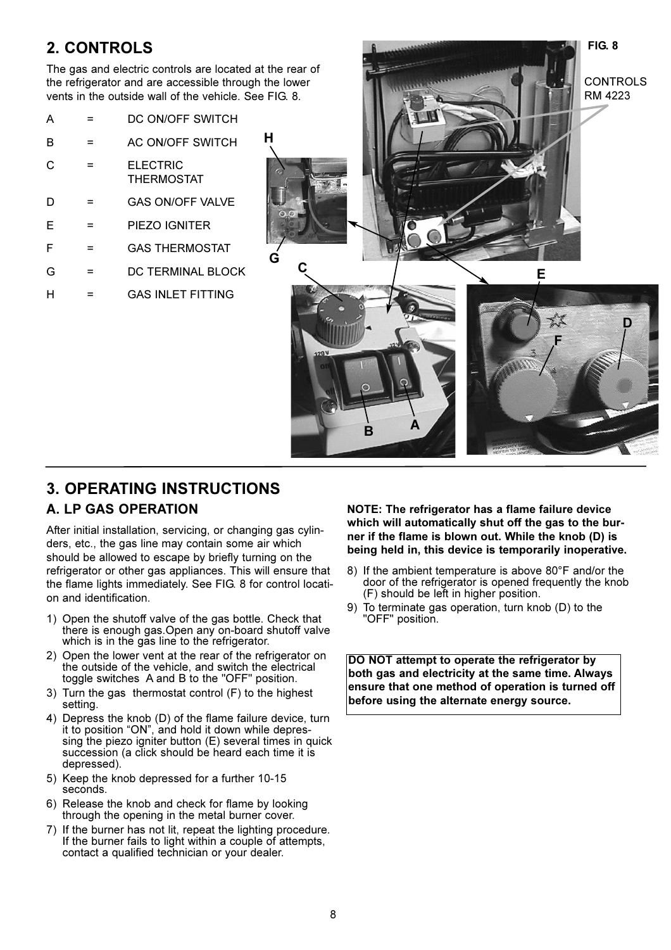### 2. CONTROLS

The gas and electric controls are located at the rear of the refrigerator and are accessible through the lower vents in the outside wall of the vehicle. See FIG. 8.

| А |     | DC ON/OFF SWITCH                     |
|---|-----|--------------------------------------|
| в | =   | AC ON/OFF SWITCH                     |
| C |     | <b>ELECTRIC</b><br><b>THERMOSTAT</b> |
| D |     | <b>GAS ON/OFF VALVE</b>              |
| F | =   | PIEZO IGNITER                        |
| F | =   | <b>GAS THERMOSTAT</b>                |
| G | $=$ | DC TERMINAL BLOCK                    |
| н |     | <b>GAS INI FT FITTING</b>            |
|   |     |                                      |



### **3. OPERATING INSTRUCTIONS**

### **A. LP GAS OPERATION**

After initial installation, servicing, or changing gas cylinders, etc., the gas line may contain some air which should be allowed to escape by briefly turning on the refrigerator or other gas appliances. This will ensure that the flame lights immediately. See FIG. 8 for control location and identification.

- 1) Open the shutoff valve of the gas bottle. Check that there is enough gas. Open any on-board shutoff valve which is in the gas line to the refrigerator.
- 2) Open the lower vent at the rear of the refrigerator on the outside of the vehicle, and switch the electrical toggle switches A and B to the "OFF" position.
- 3) Turn the gas thermostat control (F) to the highest setting.
- 4) Depress the knob (D) of the flame failure device, turn it to position "ON", and hold it down while depressing the piezo igniter button (E) several times in quick succession (a click should be heard each time it is depressed).
- 5) Keep the knob depressed for a further 10-15 seconds.
- 6) Release the knob and check for flame by looking through the opening in the metal burner cover.
- 7) If the burner has not lit, repeat the lighting procedure. If the burner fails to light within a couple of attempts, contact a qualified technician or your dealer.

NOTE: The refrigerator has a flame failure device which will automatically shut off the gas to the burner if the flame is blown out. While the knob (D) is being held in, this device is temporarily inoperative.

- 8) If the ambient temperature is above 80°F and/or the door of the refrigerator is opened frequently the knob (F) should be left in higher position.
- 9) To terminate gas operation, turn knob (D) to the 'OFF" position.

DO NOT attempt to operate the refrigerator by both gas and electricity at the same time. Always ensure that one method of operation is turned off before using the alternate energy source.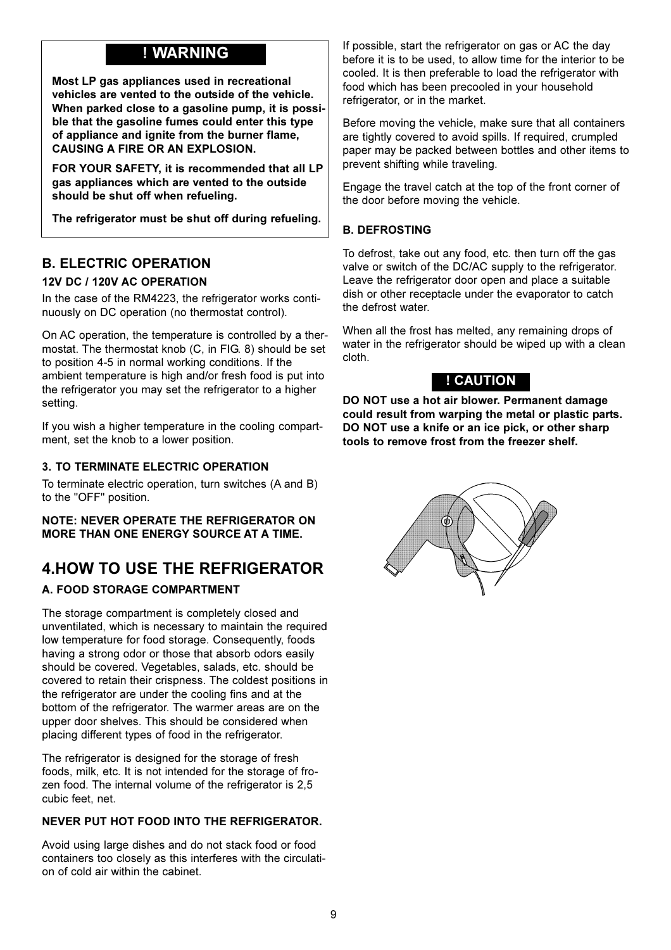### ! WARNING

Most LP gas appliances used in recreational vehicles are vented to the outside of the vehicle. When parked close to a gasoline pump, it is possible that the gasoline fumes could enter this type of appliance and ignite from the burner flame, **CAUSING A FIRE OR AN EXPLOSION.** 

FOR YOUR SAFETY, it is recommended that all LP gas appliances which are vented to the outside should be shut off when refueling.

The refrigerator must be shut off during refueling.

### **B. ELECTRIC OPERATION**

#### 12V DC / 120V AC OPERATION

In the case of the RM4223, the refrigerator works continuously on DC operation (no thermostat control).

On AC operation, the temperature is controlled by a thermostat. The thermostat knob (C, in FIG. 8) should be set to position 4-5 in normal working conditions. If the ambient temperature is high and/or fresh food is put into the refrigerator you may set the refrigerator to a higher setting.

If you wish a higher temperature in the cooling compartment, set the knob to a lower position.

#### 3. TO TERMINATE ELECTRIC OPERATION

To terminate electric operation, turn switches (A and B) to the "OFF" position.

**NOTE: NEVER OPERATE THE REFRIGERATOR ON MORE THAN ONE ENERGY SOURCE AT A TIME.** 

### **4.HOW TO USE THE REFRIGERATOR**

#### **A. FOOD STORAGE COMPARTMENT**

The storage compartment is completely closed and unventilated, which is necessary to maintain the required low temperature for food storage. Consequently, foods having a strong odor or those that absorb odors easily should be covered. Vegetables, salads, etc. should be covered to retain their crispness. The coldest positions in the refrigerator are under the cooling fins and at the bottom of the refrigerator. The warmer areas are on the upper door shelves. This should be considered when placing different types of food in the refrigerator.

The refrigerator is designed for the storage of fresh foods, milk, etc. It is not intended for the storage of frozen food. The internal volume of the refrigerator is 2,5 cubic feet, net.

#### NEVER PUT HOT FOOD INTO THE REFRIGERATOR.

Avoid using large dishes and do not stack food or food containers too closely as this interferes with the circulation of cold air within the cabinet.

If possible, start the refrigerator on gas or AC the day before it is to be used, to allow time for the interior to be cooled. It is then preferable to load the refrigerator with food which has been precooled in your household refrigerator, or in the market.

Before moving the vehicle, make sure that all containers are tightly covered to avoid spills. If required, crumpled paper may be packed between bottles and other items to prevent shifting while traveling.

Engage the travel catch at the top of the front corner of the door before moving the vehicle.

#### **B. DEFROSTING**

To defrost, take out any food, etc. then turn off the gas valve or switch of the DC/AC supply to the refrigerator. Leave the refrigerator door open and place a suitable dish or other receptacle under the evaporator to catch the defrost water.

When all the frost has melted, any remaining drops of water in the refrigerator should be wiped up with a clean cloth.

### ! CAUTION

DO NOT use a hot air blower. Permanent damage could result from warping the metal or plastic parts. DO NOT use a knife or an ice pick, or other sharp tools to remove frost from the freezer shelf.

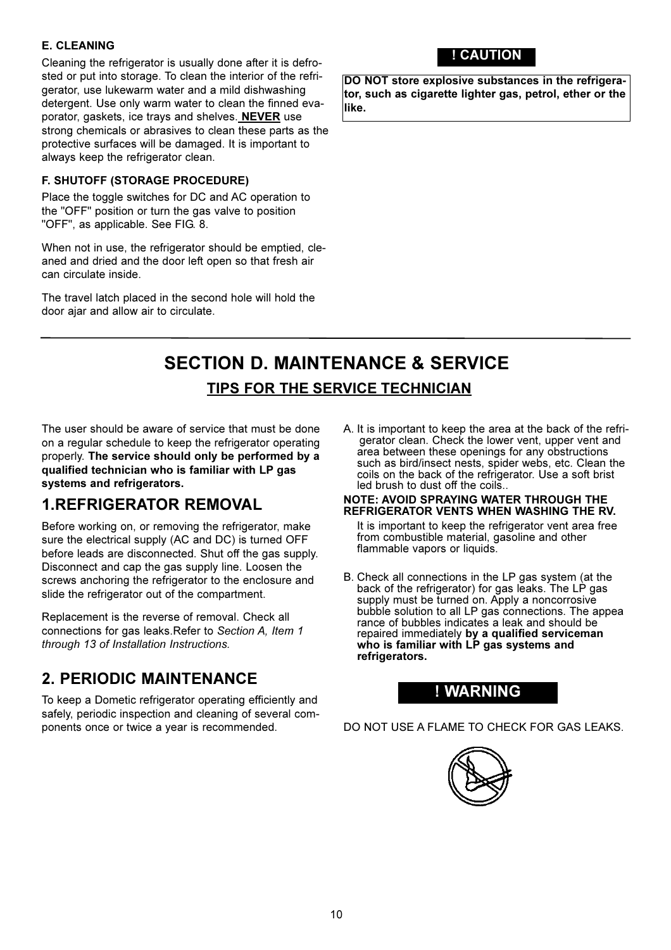#### **E. CLEANING**

Cleaning the refrigerator is usually done after it is defrosted or put into storage. To clean the interior of the refrigerator, use lukewarm water and a mild dishwashing detergent. Use only warm water to clean the finned evaporator, gaskets, ice trays and shelves. **NEVER** use strong chemicals or abrasives to clean these parts as the protective surfaces will be damaged. It is important to always keep the refrigerator clean.

#### F. SHUTOFF (STORAGE PROCEDURE)

Place the toggle switches for DC and AC operation to the "OFF" position or turn the gas valve to position "OFF", as applicable. See FIG. 8.

When not in use, the refrigerator should be emptied, cleaned and dried and the door left open so that fresh air can circulate inside.

The travel latch placed in the second hole will hold the door ajar and allow air to circulate.

### ! CAUTION

DO NOT store explosive substances in the refrigerator, such as cigarette lighter gas, petrol, ether or the like.

### **SECTION D. MAINTENANCE & SERVICE TIPS FOR THE SERVICE TECHNICIAN**

The user should be aware of service that must be done on a regular schedule to keep the refrigerator operating properly. The service should only be performed by a qualified technician who is familiar with LP gas systems and refrigerators.

### **1.REFRIGERATOR REMOVAL**

Before working on, or removing the refrigerator, make sure the electrical supply (AC and DC) is turned OFF before leads are disconnected. Shut off the gas supply. Disconnect and cap the gas supply line. Loosen the screws anchoring the refrigerator to the enclosure and slide the refrigerator out of the compartment.

Replacement is the reverse of removal. Check all connections for gas leaks. Refer to Section A, Item 1 through 13 of Installation Instructions.

### **2. PERIODIC MAINTENANCE**

To keep a Dometic refrigerator operating efficiently and safely, periodic inspection and cleaning of several components once or twice a vear is recommended.

A. It is important to keep the area at the back of the refrigerator clean. Check the lower vent, upper vent and area between these openings for any obstructions such as bird/insect nests, spider webs, etc. Clean the coils on the back of the refrigerator. Use a soft brist led brush to dust off the coils.

#### NOTE: AVOID SPRAYING WATER THROUGH THE REFRIGERATOR VENTS WHEN WASHING THE RV.

It is important to keep the refrigerator vent area free from combustible material, gasoline and other flammable vapors or liquids.

B. Check all connections in the LP gas system (at the back of the refrigerator) for gas leaks. The LP gas supply must be turned on. Apply a noncorrosive bubble solution to all LP gas connections. The appea rance of bubbles indicates a leak and should be repaired immediately by a qualified serviceman<br>who is familiar with LP gas systems and refrigerators.

### ! WARNING

DO NOT USE A FLAME TO CHECK FOR GAS LEAKS.

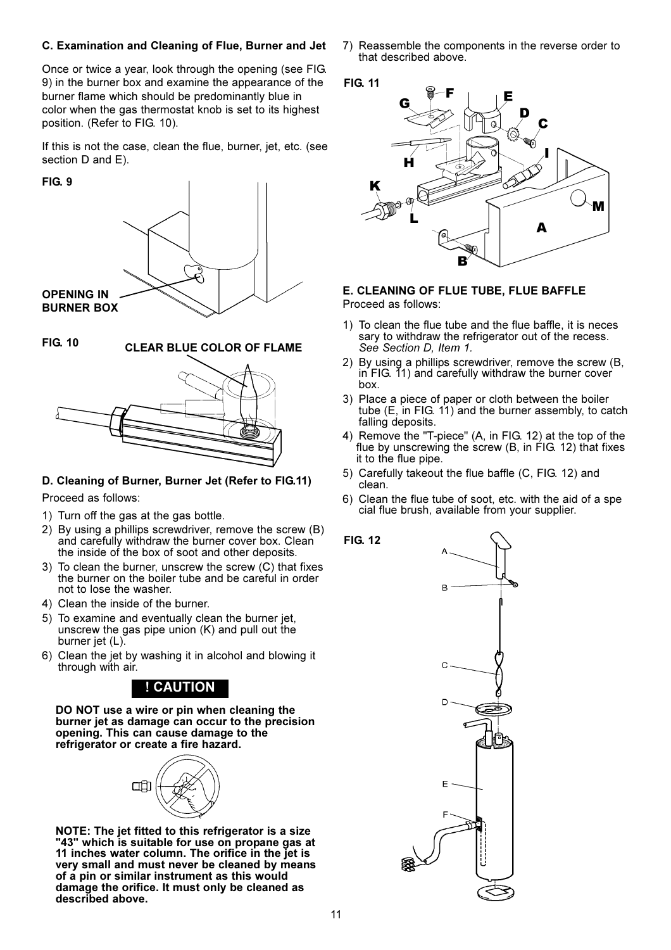#### C. Examination and Cleaning of Flue, Burner and Jet

Once or twice a year, look through the opening (see FIG. 9) in the burner box and examine the appearance of the burner flame which should be predominantly blue in color when the gas thermostat knob is set to its highest position. (Refer to FIG. 10).

If this is not the case, clean the flue, burner, jet, etc. (see section D and E).

#### **FIG. 9**



**FIG. 10** 

**CLEAR BLUE COLOR OF FLAME** 



#### D. Cleaning of Burner, Burner Jet (Refer to FIG.11)

Proceed as follows:

- 1) Turn off the gas at the gas bottle.
- 2) By using a phillips screwdriver, remove the screw (B) and carefully withdraw the burner cover box. Clean the inside of the box of soot and other deposits.
- 3) To clean the burner, unscrew the screw (C) that fixes the burner on the boiler tube and be careful in order not to lose the washer.
- 4) Clean the inside of the burner.
- 5) To examine and eventually clean the burner jet, unscrew the gas pipe union  $(K)$  and pull out the burner jet (L).
- 6) Clean the jet by washing it in alcohol and blowing it through with air.

### ! CAUTION

DO NOT use a wire or pin when cleaning the burner jet as damage can occur to the precision opening. This can cause damage to the refrigerator or create a fire hazard.



NOTE: The jet fitted to this refrigerator is a size<br>"43" which is suitable for use on propane gas at 11 inches water column. The orifice in the jet is very small and must never be cleaned by means of a pin or similar instrument as this would damage the orifice. It must only be cleaned as described above.

7) Reassemble the components in the reverse order to that described above.



**FIG. 12** 



#### E. CLEANING OF FLUE TUBE, FLUE BAFFLE Proceed as follows:

- 1) To clean the flue tube and the flue baffle, it is neces sary to withdraw the refrigerator out of the recess. See Section D, Item 1.
- 2) By using a phillips screwdriver, remove the screw (B, in FIG. 11) and carefully withdraw the burner cover hov
- 3) Place a piece of paper or cloth between the boiler tube (E, in FIG. 11) and the burner assembly, to catch falling deposits.
- 4) Remove the "T-piece" (A, in FIG. 12) at the top of the flue by unscrewing the screw (B, in FIG. 12) that fixes it to the flue pipe.
- 5) Carefully takeout the flue baffle (C, FIG. 12) and clean.
- 6) Clean the flue tube of soot, etc. with the aid of a spe cial flue brush, available from your supplier.

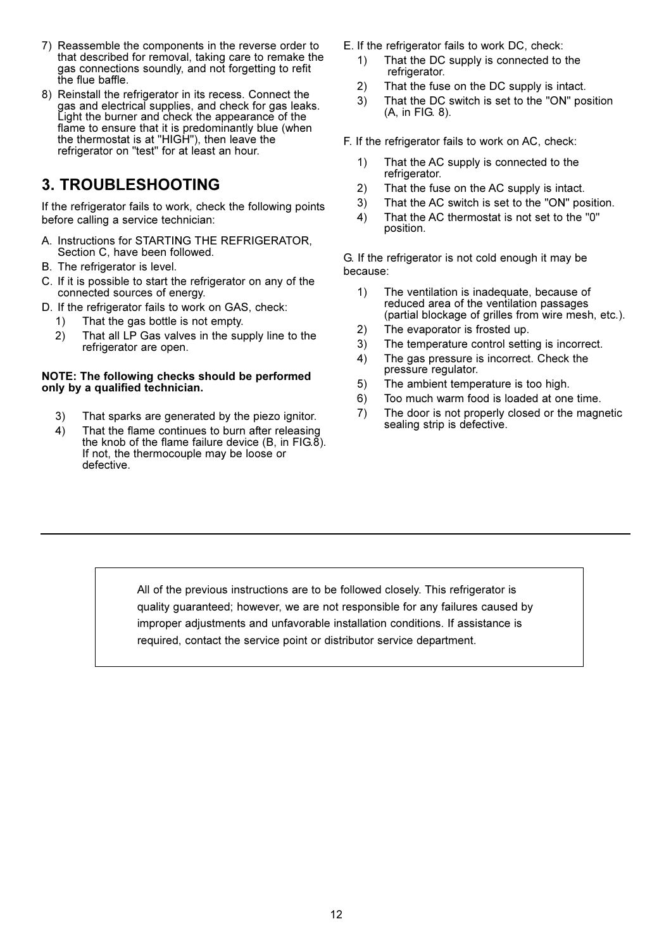- 7) Reassemble the components in the reverse order to that described for removal, taking care to remake the gas connections soundly, and not forgetting to refit<br>the flue baffle.
- 8) Reinstall the refrigerator in its recess. Connect the gas and electrical supplies, and check for gas leaks.<br>Light the burner and check the appearance of the flame to ensure that it is predominantly blue (when the thermostat is at "HIGH"), then leave the<br>refrigerator on "test" for at least an hour.

### **3. TROUBLESHOOTING**

If the refrigerator fails to work, check the following points before calling a service technician:

- A. Instructions for STARTING THE REFRIGERATOR, Section C, have been followed.
- B. The refrigerator is level.
- C. If it is possible to start the refrigerator on any of the connected sources of energy.
- D. If the refrigerator fails to work on GAS, check:
	- That the gas bottle is not empty. 1)
	- $2)$ That all LP Gas valves in the supply line to the refrigerator are open.

#### NOTE: The following checks should be performed only by a qualified technician.

- $3)$ That sparks are generated by the piezo ignitor.
- $4)$ That the flame continues to burn after releasing the knob of the flame failure device  $(B, \text{ in } FIG. \delta)$ . If not, the thermocouple may be loose or defective.
- E. If the refrigerator fails to work DC, check:
	- That the DC supply is connected to the  $1)$ refrigerator.
	- $2)$ That the fuse on the DC supply is intact.
	- $3)$ That the DC switch is set to the "ON" position (A, in FIG. 8).
- F. If the refrigerator fails to work on AC, check:
	- $1)$ That the AC supply is connected to the refrigerator.
	- $2)$ That the fuse on the AC supply is intact.
	- $3)$ That the AC switch is set to the "ON" position.
	- $4)$ That the AC thermostat is not set to the "0" position.

G. If the refrigerator is not cold enough it may be because:

- $1)$ The ventilation is inadequate, because of reduced area of the ventilation passages (partial blockage of grilles from wire mesh, etc.).
- The evaporator is frosted up.  $2)$
- $3)$ The temperature control setting is incorrect.
- The gas pressure is incorrect. Check the  $4)$ pressure regulator.
- $5)$ The ambient temperature is too high.
- $6)$ Too much warm food is loaded at one time.
- The door is not properly closed or the magnetic  $7)$ sealing strip is defective.

All of the previous instructions are to be followed closely. This refrigerator is quality guaranteed; however, we are not responsible for any failures caused by improper adjustments and unfavorable installation conditions. If assistance is required, contact the service point or distributor service department.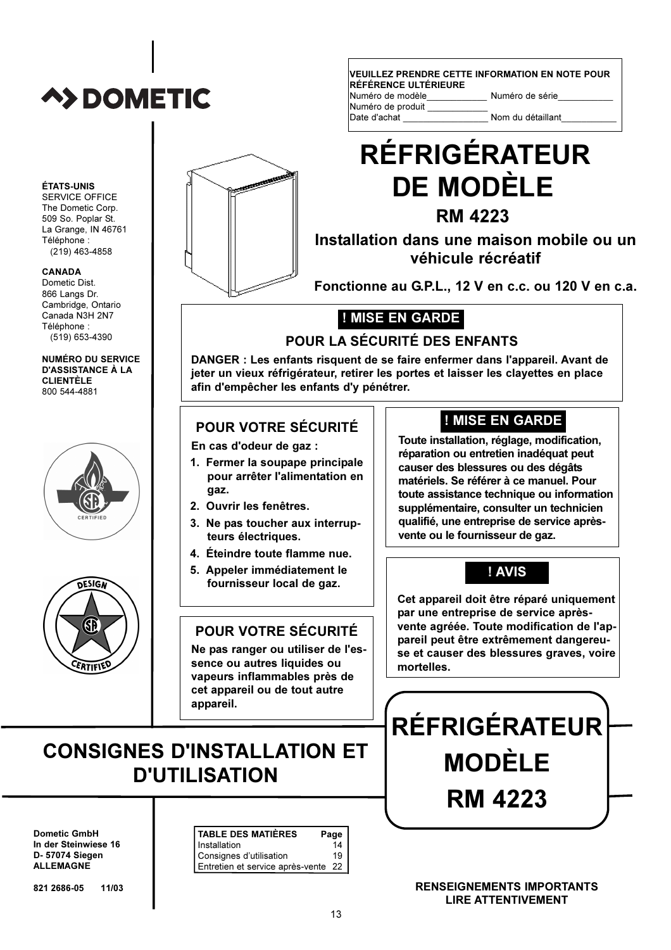# **A>DOMETIC**

**ÉTATS-UNIS** SERVICE OFFICE The Dometic Corp.

Téléphone :  $(219)$  463-4858

**CANADA** Dometic Dist

866 Langs Dr. Cambridge, Ontario Canada N3H 2N7

Téléphone :  $(519)$  653-4390

**CLIENTÈLE** 

800 544-4881

509 So. Poplar St. La Grange. IN 46761 VEUILLEZ PRENDRE CETTE INFORMATION EN NOTE POUR RÉFÉRENCE ULTÉRIEURE

| Numéro de modèle  | Nun |
|-------------------|-----|
| Numéro de produit |     |
| Date d'achat      | Non |

### néro de série

n du détaillant

# **RÉFRIGÉRATEUR DE MODÈLE RM 4223**

### Installation dans une maison mobile ou un véhicule récréatif

Fonctionne au G.P.L., 12 V en c.c. ou 120 V en c.a.

### ! MISE EN GARDE

### POUR LA SÉCURITÉ DES ENFANTS

DANGER : Les enfants risquent de se faire enfermer dans l'appareil. Avant de jeter un vieux réfrigérateur, retirer les portes et laisser les clayettes en place afin d'empêcher les enfants d'y pénétrer.

### POUR VOTRE SÉCURITÉ

En cas d'odeur de gaz :

- 1. Fermer la soupape principale pour arrêter l'alimentation en qaz.
- 2. Ouvrir les fenêtres.
- 3. Ne pas toucher aux interrupteurs électriques.
- 4. Éteindre toute flamme nue.
- 5. Appeler immédiatement le fournisseur local de gaz.

### **POUR VOTRE SÉCURITÉ**

Ne pas ranger ou utiliser de l'essence ou autres liquides ou vapeurs inflammables près de cet appareil ou de tout autre appareil.

### ! MISE EN GARDE

Toute installation, réglage, modification, réparation ou entretien inadéquat peut causer des blessures ou des dégâts matériels. Se référer à ce manuel. Pour toute assistance technique ou information supplémentaire, consulter un technicien qualifié, une entreprise de service aprèsvente ou le fournisseur de gaz.

### ! AVIS

Cet appareil doit être réparé uniquement par une entreprise de service aprèsvente agréée. Toute modification de l'appareil peut être extrêmement dangereuse et causer des blessures graves, voire mortelles.

**RÉFRIGÉRATEUR** 

**MODÈLE** 

**RM 4223** 

## **CONSIGNES D'INSTALLATION ET D'UTILISATION**

**Dometic GmbH** In der Steinwiese 16 D- 57074 Siegen **ALLEMAGNE** 

821 2686-05  $11/03$ 

| <b>TABLE DES MATIÈRES</b>                                         | Page |
|-------------------------------------------------------------------|------|
| Installation                                                      |      |
|                                                                   |      |
| Consignes d'utilisation 19<br>Entretien et service après-vente 22 |      |

**RENSEIGNEMENTS IMPORTANTS LIRE ATTENTIVEMENT** 





**NUMÉRO DU SERVICE** 

**D'ASSISTANCE À LA** 

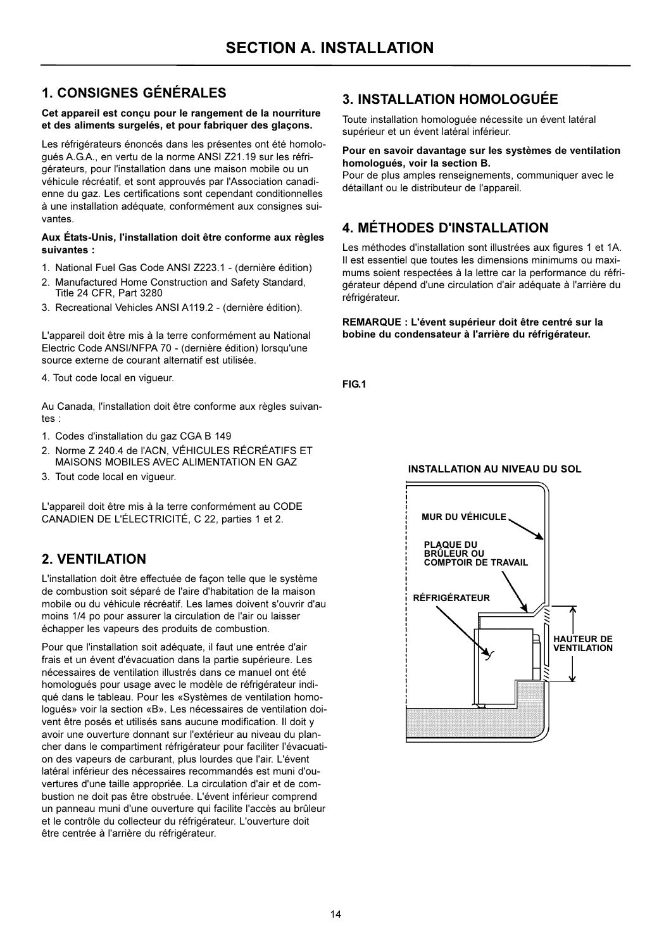### **1. CONSIGNES GÉNÉRALES**

#### Cet appareil est conçu pour le rangement de la nourriture et des aliments surgelés, et pour fabriquer des glaçons.

Les réfrigérateurs énoncés dans les présentes ont été homoloqués A.G.A., en vertu de la norme ANSI Z21.19 sur les réfrigérateurs, pour l'installation dans une maison mobile ou un véhicule récréatif, et sont approuvés par l'Association canadienne du gaz. Les certifications sont cependant conditionnelles à une installation adéquate, conformément aux consignes suivantes.

#### Aux États-Unis, l'installation doit être conforme aux règles suivantes:

- 1. National Fuel Gas Code ANSI Z223.1 (dernière édition)
- 2. Manufactured Home Construction and Safety Standard, Title 24 CFR, Part 3280
- 3. Recreational Vehicles ANSI A119.2 (dernière édition).

L'appareil doit être mis à la terre conformément au National Electric Code ANSI/NFPA 70 - (dernière édition) lorsqu'une source externe de courant alternatif est utilisée.

4. Tout code local en viqueur.

Au Canada, l'installation doit être conforme aux règles suivan $tes$ 

- 1. Codes d'installation du gaz CGA B 149
- 2. Norme Z 240.4 de l'ACN. VÉHICULES RÉCRÉATIES ET MAISONS MOBILES AVEC ALIMENTATION EN GAZ
- 3. Tout code local en vigueur.

L'appareil doit être mis à la terre conformément au CODE CANADIEN DE L'ÉLECTRICITÉ, C 22, parties 1 et 2.

### 2. VENTIL ATION

L'installation doit être effectuée de façon telle que le système de combustion soit séparé de l'aire d'habitation de la maison mobile ou du véhicule récréatif. Les lames doivent s'ouvrir d'au moins 1/4 po pour assurer la circulation de l'air ou laisser échapper les vapeurs des produits de combustion.

Pour que l'installation soit adéquate, il faut une entrée d'air frais et un évent d'évacuation dans la partie supérieure. Les nécessaires de ventilation illustrés dans ce manuel ont été homologués pour usage avec le modèle de réfrigérateur indiqué dans le tableau. Pour les «Systèmes de ventilation homoloqués» voir la section «B». Les nécessaires de ventilation doivent être posés et utilisés sans aucune modification. Il doit y avoir une ouverture donnant sur l'extérieur au niveau du plancher dans le compartiment réfrigérateur pour faciliter l'évacuation des vapeurs de carburant, plus lourdes que l'air. L'évent latéral inférieur des nécessaires recommandés est muni d'ouvertures d'une taille appropriée. La circulation d'air et de combustion ne doit pas être obstruée. L'évent inférieur comprend un panneau muni d'une ouverture qui facilite l'accès au brûleur et le contrôle du collecteur du réfrigérateur. L'ouverture doit être centrée à l'arrière du réfrigérateur.

### 3. INSTALLATION HOMOLOGUÉE

Toute installation homologuée nécessite un évent latéral supérieur et un évent latéral inférieur.

#### Pour en savoir davantage sur les systèmes de ventilation homologués, voir la section B.

Pour de plus amples renseignements, communiquer avec le détaillant ou le distributeur de l'appareil.

### **4. MÉTHODES D'INSTALLATION**

Les méthodes d'installation sont illustrées aux figures 1 et 1A. Il est essentiel que toutes les dimensions minimums ou maximums soient respectées à la lettre car la performance du réfrigérateur dépend d'une circulation d'air adéquate à l'arrière du réfrigérateur.

REMARQUE : L'évent supérieur doit être centré sur la bobine du condensateur à l'arrière du réfrigérateur.

FIG.1

#### **INSTALLATION AU NIVEAU DU SOL**

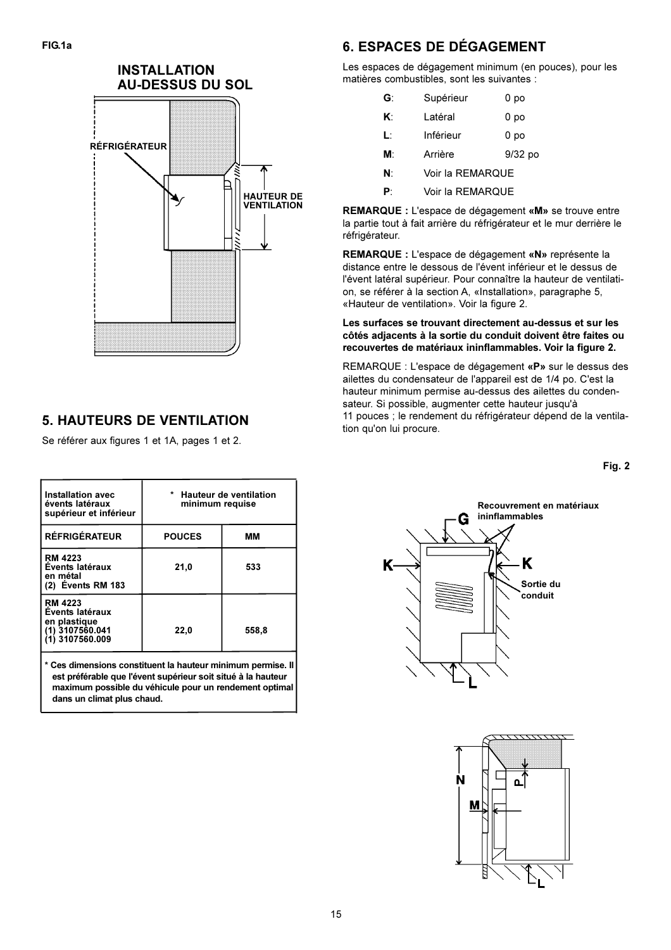

### **5. HAUTEURS DE VENTILATION**

Se référer aux figures 1 et 1A, pages 1 et 2.

| Installation avec<br>évents latéraux<br>supérieur et inférieur                          | * Hauteur de ventilation<br>minimum requise |       |  |  |  |
|-----------------------------------------------------------------------------------------|---------------------------------------------|-------|--|--|--|
| <b>RÉFRIGÉRATEUR</b>                                                                    | <b>POUCES</b>                               | MМ    |  |  |  |
| <b>RM 4223</b><br>Évents latéraux<br>en métal<br>(2) Events RM 183                      | 21,0                                        | 533   |  |  |  |
| <b>RM 4223</b><br>Events latéraux<br>en plastique<br>(1) 3107560.041<br>(1) 3107560.009 | 22,0                                        | 558,8 |  |  |  |

Ces dimensions constituent la hauteur minimum permise. Il est préférable que l'évent supérieur soit situé à la hauteur maximum possible du véhicule pour un rendement optimal dans un climat plus chaud.

### **6. ESPACES DE DÉGAGEMENT**

Les espaces de dégagement minimum (en pouces), pour les matières combustibles, sont les suivantes :

| G: | Supérieur            | 0 po |  |  |  |  |
|----|----------------------|------|--|--|--|--|
| K۰ | Latéral              | 0 po |  |  |  |  |
| Ŀ  | Inférieur            | 0 po |  |  |  |  |
| M۰ | $9/32$ po<br>Arrière |      |  |  |  |  |
| N۰ | Voir la REMARQUE     |      |  |  |  |  |
|    |                      |      |  |  |  |  |

 $\mathbf{p}$ . Voir la REMAROUE

REMARQUE : L'espace de dégagement «M» se trouve entre la partie tout à fait arrière du réfrigérateur et le mur derrière le réfrigérateur.

REMARQUE : L'espace de dégagement «N» représente la distance entre le dessous de l'évent inférieur et le dessus de l'évent latéral supérieur. Pour connaître la hauteur de ventilation. se référer à la section A, «Installation», paragraphe 5, «Hauteur de ventilation». Voir la figure 2.

#### Les surfaces se trouvant directement au-dessus et sur les côtés adjacents à la sortie du conduit doivent être faites ou recouvertes de matériaux ininflammables. Voir la figure 2.

REMARQUE : L'espace de dégagement «P» sur le dessus des ailettes du condensateur de l'appareil est de 1/4 po. C'est la hauteur minimum permise au-dessus des ailettes du condensateur. Si possible, augmenter cette hauteur jusqu'à 11 pouces ; le rendement du réfrigérateur dépend de la ventilation qu'on lui procure.

Fig. 2



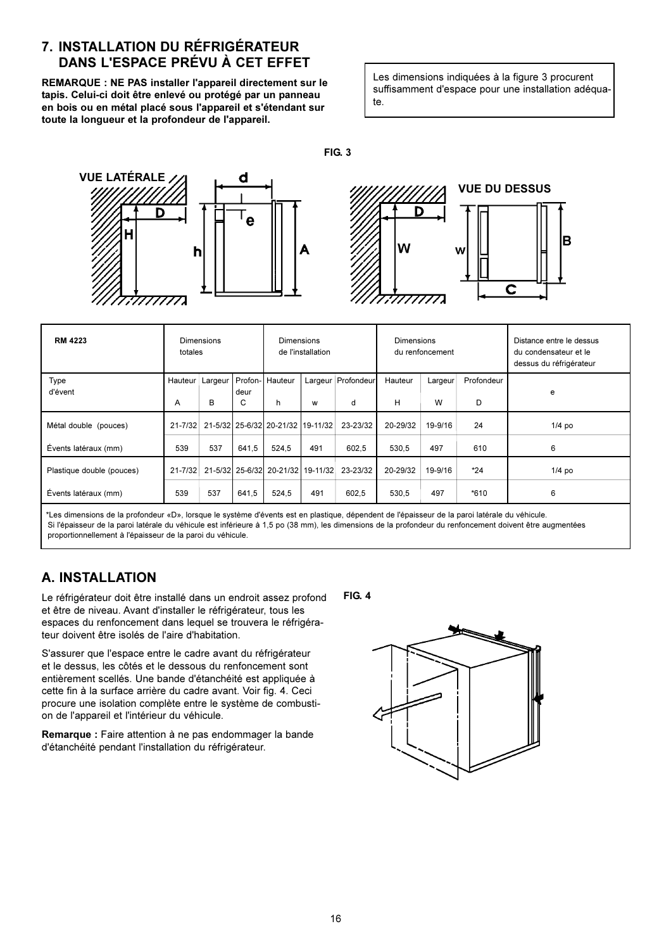#### 7. INSTALLATION DU RÉFRIGÉRATEUR DANS L'ESPACE PRÉVU À CET EFFET

REMARQUE : NE PAS installer l'appareil directement sur le tapis. Celui-ci doit être enlevé ou protégé par un panneau en bois ou en métal placé sous l'appareil et s'étendant sur toute la longueur et la profondeur de l'appareil.

Les dimensions indiquées à la figure 3 procurent suffisamment d'espace pour une installation adéquate.

**FIG. 3** 



| <b>RM 4223</b>            | Dimensions<br>totales |         | Dimensions<br>de l'installation |                                   | Dimensions<br>du renfoncement |                      |          | Distance entre le dessus<br>du condensateur et le<br>dessus du réfrigérateur |            |          |
|---------------------------|-----------------------|---------|---------------------------------|-----------------------------------|-------------------------------|----------------------|----------|------------------------------------------------------------------------------|------------|----------|
| Type<br>d'évent           | Hauteur               | Largeur | deur                            | Profon-I Hauteur                  |                               | Largeur   Profondeur | Hauteur  | Largeur                                                                      | Profondeur |          |
|                           | A                     | B       | C                               | h                                 | w                             | d                    | н        | W                                                                            | D          | e        |
| Métal double (pouces)     | $21 - 7/32$           |         |                                 | 21-5/32 25-6/32 20-21/32 19-11/32 |                               | 23-23/32             | 20-29/32 | 19-9/16                                                                      | 24         | $1/4$ po |
| Évents latéraux (mm)      | 539                   | 537     | 641.5                           | 524.5                             | 491                           | 602.5                | 530.5    | 497                                                                          | 610        | 6        |
| Plastique double (pouces) | $21 - 7/32$           |         |                                 | 21-5/32 25-6/32 20-21/32 19-11/32 |                               | 23-23/32             | 20-29/32 | 19-9/16                                                                      | $*24$      | $1/4$ po |
| Évents latéraux (mm)      | 539                   | 537     | 641,5                           | 524,5                             | 491                           | 602,5                | 530,5    | 497                                                                          | $*610$     | 6        |

\*Les dimensions de la profondeur «D», lorsque le système d'évents est en plastique, dépendent de l'épaisseur de la paroi latérale du véhicule. Si l'épaisseur de la paroi latérale du véhicule est inférieure à 1,5 po (38 mm), les dimensions de la profondeur du renfoncement doivent être augmentées proportionnellement à l'épaisseur de la paroi du véhicule.

### **A. INSTALLATION**

Le réfrigérateur doit être installé dans un endroit assez profond et être de niveau. Avant d'installer le réfrigérateur, tous les espaces du renfoncement dans lequel se trouvera le réfrigérateur doivent être isolés de l'aire d'habitation.

S'assurer que l'espace entre le cadre avant du réfrigérateur et le dessus, les côtés et le dessous du renfoncement sont entièrement scellés. Une bande d'étanchéité est appliquée à cette fin à la surface arrière du cadre avant. Voir fig. 4. Ceci procure une isolation complète entre le système de combustion de l'appareil et l'intérieur du véhicule.

Remarque : Faire attention à ne pas endommager la bande d'étanchéité pendant l'installation du réfrigérateur.

**FIG. 4** 

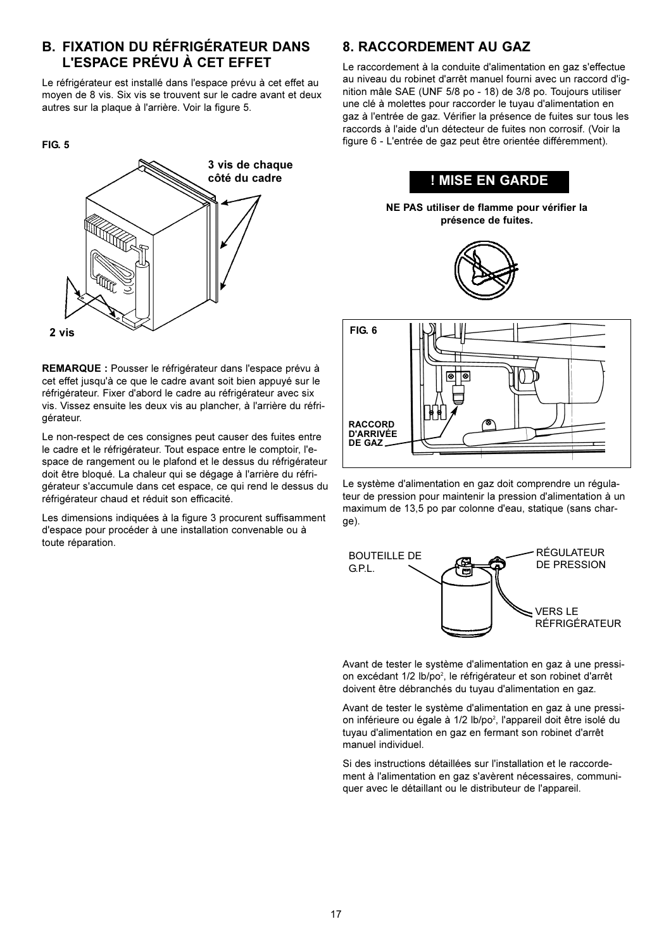#### **B. FIXATION DU RÉFRIGÉRATEUR DANS** L'ESPACE PRÉVU À CET EFFET

Le réfrigérateur est installé dans l'espace prévu à cet effet au moven de 8 vis. Six vis se trouvent sur le cadre avant et deux autres sur la plaque à l'arrière. Voir la figure 5.





REMARQUE : Pousser le réfrigérateur dans l'espace prévu à cet effet jusqu'à ce que le cadre avant soit bien appuvé sur le réfrigérateur. Fixer d'abord le cadre au réfrigérateur avec six vis. Vissez ensuite les deux vis au plancher, à l'arrière du réfriaérateur.

Le non-respect de ces consignes peut causer des fuites entre le cadre et le réfrigérateur. Tout espace entre le comptoir, l'espace de rangement ou le plafond et le dessus du réfrigérateur doit être bloqué. La chaleur qui se dégage à l'arrière du réfrigérateur s'accumule dans cet espace, ce qui rend le dessus du réfrigérateur chaud et réduit son efficacité.

Les dimensions indiquées à la figure 3 procurent suffisamment d'espace pour procéder à une installation convenable ou à toute réparation.

### 8. RACCORDEMENT AU GAZ

Le raccordement à la conduite d'alimentation en gaz s'effectue au niveau du robinet d'arrêt manuel fourni avec un raccord d'ignition mâle SAE (UNF 5/8 po - 18) de 3/8 po. Toujours utiliser une clé à molettes pour raccorder le tuyau d'alimentation en gaz à l'entrée de gaz. Vérifier la présence de fuites sur tous les raccords à l'aide d'un détecteur de fuites non corrosif. (Voir la figure 6 - L'entrée de gaz peut être orientée différemment).



NE PAS utiliser de flamme pour vérifier la présence de fuites.





Le système d'alimentation en gaz doit comprendre un régulateur de pression pour maintenir la pression d'alimentation à un maximum de 13,5 po par colonne d'eau, statique (sans charge).



Avant de tester le système d'alimentation en gaz à une pression excédant 1/2 lb/po<sup>2</sup>, le réfrigérateur et son robinet d'arrêt doivent être débranchés du tuyau d'alimentation en gaz.

Avant de tester le système d'alimentation en gaz à une pression inférieure ou égale à 1/2 lb/po<sup>2</sup>, l'appareil doit être isolé du tuyau d'alimentation en gaz en fermant son robinet d'arrêt manuel individuel.

Si des instructions détaillées sur l'installation et le raccordement à l'alimentation en gaz s'avèrent nécessaires, communiquer avec le détaillant ou le distributeur de l'appareil.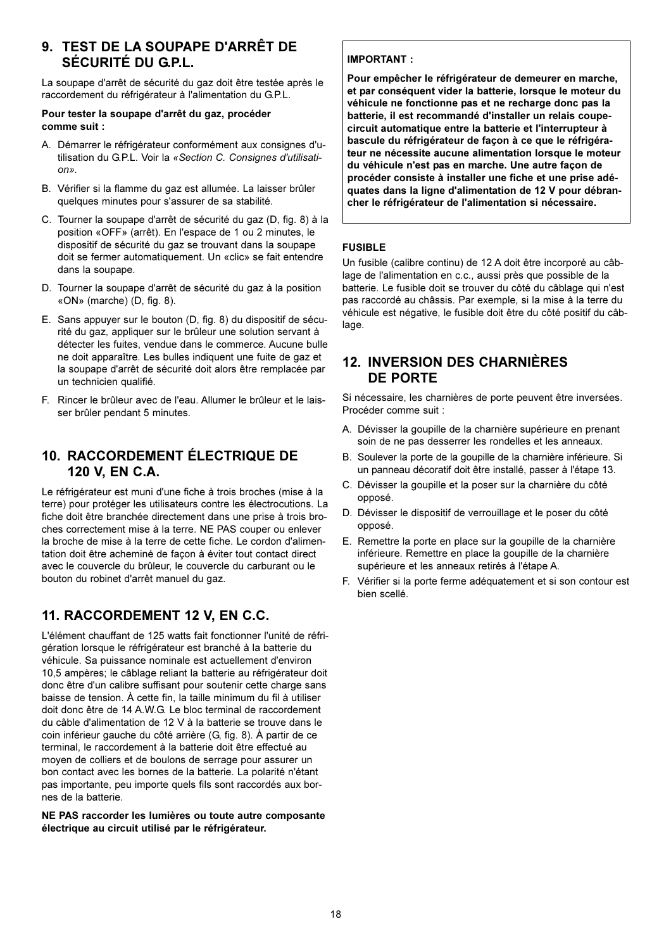#### 9. TEST DE LA SOUPAPE D'ARRÊT DE SÉCURITÉ DU G.P.L.

La soupape d'arrêt de sécurité du gaz doit être testée après le raccordement du réfrigérateur à l'alimentation du G.P.L.

#### Pour tester la soupape d'arrêt du gaz, procéder comme suit :

- A. Démarrer le réfrigérateur conformément aux consignes d'utilisation du G.P.L. Voir la «Section C. Consignes d'utilisati $n_{\rm B}$
- B. Vérifier si la flamme du gaz est allumée. La laisser brûler quelques minutes pour s'assurer de sa stabilité.
- C. Tourner la soupape d'arrêt de sécurité du gaz (D, fig. 8) à la position «OFF» (arrêt). En l'espace de 1 ou 2 minutes, le dispositif de sécurité du gaz se trouvant dans la soupape doit se fermer automatiquement. Un «clic» se fait entendre dans la soupape.
- D. Tourner la soupape d'arrêt de sécurité du gaz à la position «ON» (marche) (D, fig. 8).
- E. Sans appuyer sur le bouton (D, fig. 8) du dispositif de sécurité du gaz, appliquer sur le brûleur une solution servant à détecter les fuites, vendue dans le commerce. Aucune bulle ne doit apparaître. Les bulles indiquent une fuite de gaz et la soupape d'arrêt de sécurité doit alors être remplacée par un technicien qualifié.
- F. Rincer le brûleur avec de l'eau. Allumer le brûleur et le laisser brûler pendant 5 minutes.

#### 10. RACCORDEMENT ÉLECTRIQUE DE 120 V. EN C.A.

Le réfrigérateur est muni d'une fiche à trois broches (mise à la terre) pour protéger les utilisateurs contre les électrocutions. La fiche doit être branchée directement dans une prise à trois broches correctement mise à la terre. NE PAS couper ou enlever la broche de mise à la terre de cette fiche. Le cordon d'alimentation doit être acheminé de façon à éviter tout contact direct avec le couvercle du brûleur, le couvercle du carburant ou le bouton du robinet d'arrêt manuel du gaz.

### 11. RACCORDEMENT 12 V, EN C.C.

L'élément chauffant de 125 watts fait fonctionner l'unité de réfrigération lorsque le réfrigérateur est branché à la batterie du véhicule. Sa puissance nominale est actuellement d'environ 10,5 ampères; le câblage reliant la batterie au réfrigérateur doit donc être d'un calibre suffisant pour soutenir cette charge sans baisse de tension. À cette fin, la taille minimum du fil à utiliser doit donc être de 14 A.W.G. Le bloc terminal de raccordement du câble d'alimentation de 12 V à la batterie se trouve dans le coin inférieur gauche du côté arrière (G, fig. 8). À partir de ce terminal, le raccordement à la batterie doit être effectué au moyen de colliers et de boulons de serrage pour assurer un bon contact avec les bornes de la batterie. La polarité n'étant pas importante, peu importe quels fils sont raccordés aux bornes de la batterie.

NE PAS raccorder les lumières ou toute autre composante électrique au circuit utilisé par le réfrigérateur.

#### **IMPORTANT:**

Pour empêcher le réfrigérateur de demeurer en marche, et par conséquent vider la batterie, lorsque le moteur du véhicule ne fonctionne pas et ne recharge donc pas la batterie, il est recommandé d'installer un relais coupecircuit automatique entre la batterie et l'interrupteur à bascule du réfrigérateur de façon à ce que le réfrigérateur ne nécessite aucune alimentation lorsque le moteur du véhicule n'est pas en marche. Une autre façon de procéder consiste à installer une fiche et une prise adéquates dans la ligne d'alimentation de 12 V pour débrancher le réfrigérateur de l'alimentation si nécessaire.

#### **FUSIBLE**

Un fusible (calibre continu) de 12 A doit être incorporé au câblage de l'alimentation en c.c., aussi près que possible de la batterie. Le fusible doit se trouver du côté du câblage qui n'est pas raccordé au châssis. Par exemple, si la mise à la terre du véhicule est négative, le fusible doit être du côté positif du câblage.

#### **12. INVERSION DES CHARNIÈRES** DF PORTF

Si nécessaire, les charnières de porte peuvent être inversées. Procéder comme suit :

- A. Dévisser la goupille de la charnière supérieure en prenant soin de ne pas desserrer les rondelles et les anneaux.
- B. Soulever la porte de la goupille de la charnière inférieure. Si un panneau décoratif doit être installé, passer à l'étape 13.
- C. Dévisser la goupille et la poser sur la charnière du côté opposé.
- D. Dévisser le dispositif de verrouillage et le poser du côté opposé.
- E. Remettre la porte en place sur la goupille de la charnière inférieure. Remettre en place la goupille de la charnière supérieure et les anneaux retirés à l'étape A.
- F. Vérifier si la porte ferme adéquatement et si son contour est bien scellé.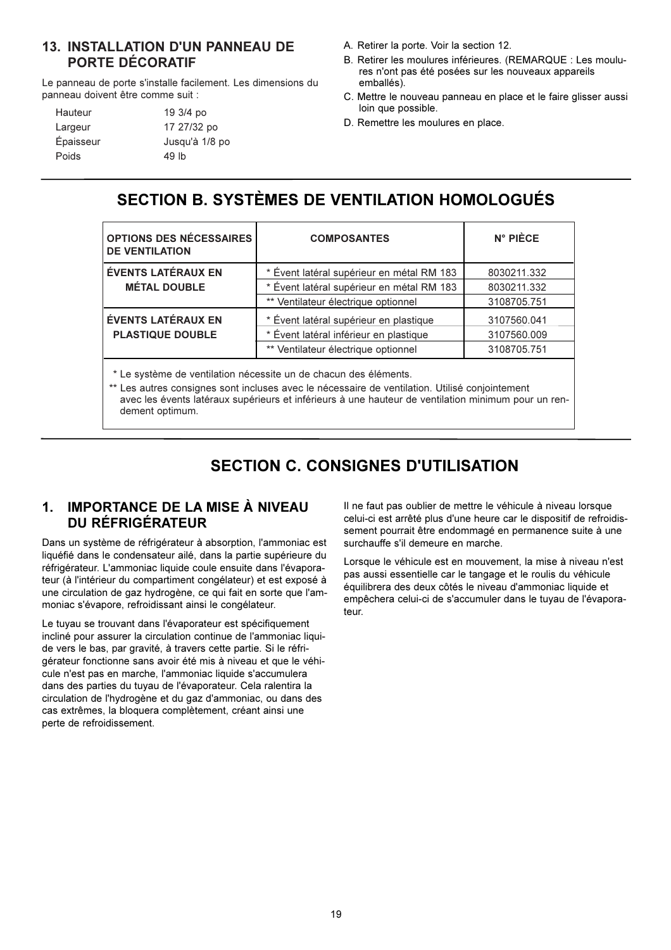#### **13. INSTALLATION D'UN PANNEAU DE PORTE DÉCORATIF**

Le panneau de porte s'installe facilement. Les dimensions du panneau doivent être comme suit :

| Hauteur   | 19 3/4 po      |
|-----------|----------------|
| Largeur   | 17 27/32 po    |
| Épaisseur | Jusqu'à 1/8 po |
| Poids     | 49 lb          |

- A. Retirer la porte. Voir la section 12.
- B. Retirer les moulures inférieures. (REMARQUE : Les moulures n'ont pas été posées sur les nouveaux appareils emballés).
- C. Mettre le nouveau panneau en place et le faire glisser aussi loin que possible.
- D. Remettre les moulures en place.

### SECTION B. SYSTÈMES DE VENTILATION HOMOLOGUÉS

| OPTIONS DES NÉCESSAIRES<br><b>DE VENTILATION</b>                 | <b>COMPOSANTES</b>                        | $N^{\circ}$ PIÈCE |
|------------------------------------------------------------------|-------------------------------------------|-------------------|
| <b>ÉVENTS LATÉRAUX EN</b>                                        | * Évent latéral supérieur en métal RM 183 | 8030211.332       |
| <b>MÉTAL DOUBLE</b>                                              | * Évent latéral supérieur en métal RM 183 | 8030211.332       |
|                                                                  | ** Ventilateur électrique optionnel       | 3108705.751       |
| <b>ÉVENTS LATÉRAUX EN</b>                                        | * Évent latéral supérieur en plastique    | 3107560.041       |
| <b>PLASTIQUE DOUBLE</b>                                          | * Évent latéral inférieur en plastique    | 3107560.009       |
|                                                                  | ** Ventilateur électrique optionnel       | 3108705.751       |
| * Le système de ventilation nécessite un de chacun des éléments. |                                           |                   |

\*\* Les autres consignes sont incluses avec le nécessaire de ventilation. Utilisé conjointement avec les évents latéraux supérieurs et inférieurs à une hauteur de ventilation minimum pour un rendement optimum.

### **SECTION C. CONSIGNES D'UTILISATION**

#### **IMPORTANCE DE LA MISE À NIVEAU**  $\mathbf 1$ **DU RÉFRIGÉRATEUR**

Dans un système de réfrigérateur à absorption, l'ammoniac est liquéfié dans le condensateur ailé, dans la partie supérieure du réfrigérateur. L'ammoniac liquide coule ensuite dans l'évaporateur (à l'intérieur du compartiment congélateur) et est exposé à une circulation de gaz hydrogène, ce qui fait en sorte que l'ammoniac s'évapore, refroidissant ainsi le congélateur.

Le tuyau se trouvant dans l'évaporateur est spécifiquement incliné pour assurer la circulation continue de l'ammoniac liquide vers le bas, par gravité, à travers cette partie. Si le réfrigérateur fonctionne sans avoir été mis à niveau et que le véhicule n'est pas en marche, l'ammoniac liquide s'accumulera dans des parties du tuyau de l'évaporateur. Cela ralentira la circulation de l'hydrogène et du gaz d'ammoniac, ou dans des cas extrêmes, la bloquera complètement, créant ainsi une perte de refroidissement.

Il ne faut pas oublier de mettre le véhicule à niveau lorsque celui-ci est arrêté plus d'une heure car le dispositif de refroidissement pourrait être endommagé en permanence suite à une surchauffe s'il demeure en marche.

Lorsque le véhicule est en mouvement, la mise à niveau n'est pas aussi essentielle car le tangage et le roulis du véhicule équilibrera des deux côtés le niveau d'ammoniac liquide et empêchera celui-ci de s'accumuler dans le tuyau de l'évaporateur.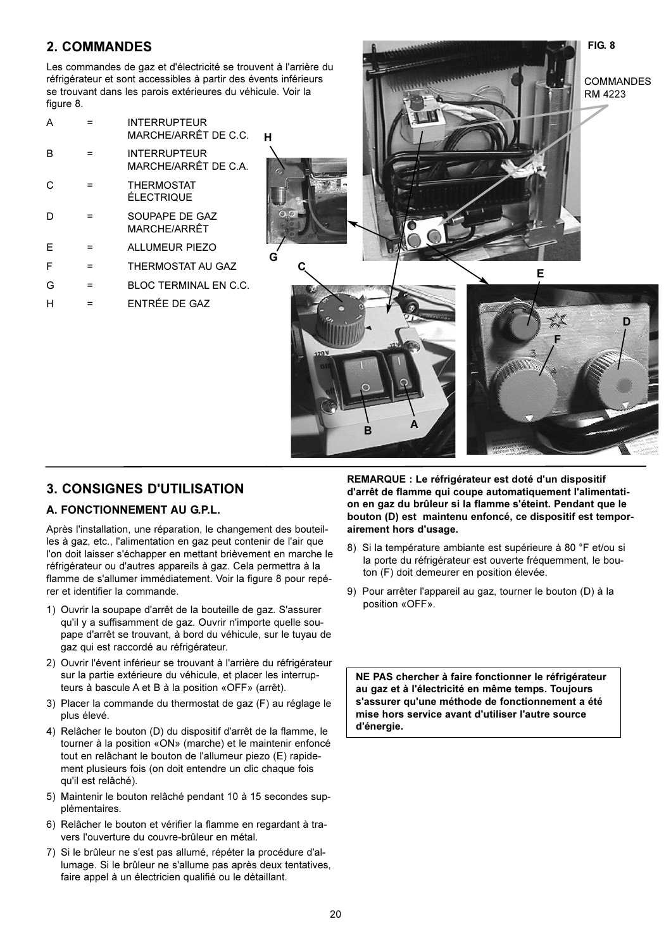#### **2. COMMANDES**

Les commandes de gaz et d'électricité se trouvent à l'arrière du réfrigérateur et sont accessibles à partir des évents inférieurs se trouvant dans les parois extérieures du véhicule. Voir la figure 8.

| А |     | <b>INTERRUPTEUR</b><br>MARCHE/ARRÊT DE C.C. |
|---|-----|---------------------------------------------|
| B |     | <b>INTERRUPTEUR</b><br>MARCHE/ARRÊT DE C.A. |
| C |     | <b>THERMOSTAT</b><br>ÉLECTRIQUE             |
|   |     | SOUPAPE DE GAZ<br>MARCHF/ARRÊT              |
| E |     | <b>ALLUMEUR PIEZO</b>                       |
| F | $=$ | THERMOSTAT AU GAZ                           |
| G |     | BLOC TERMINAL EN C.C.                       |
|   |     | ENTRÉE DE GAZ                               |



#### **3. CONSIGNES D'UTILISATION**

#### A. FONCTIONNEMENT AU G.P.L.

Après l'installation, une réparation, le changement des bouteilles à gaz, etc., l'alimentation en gaz peut contenir de l'air que l'on doit laisser s'échapper en mettant brièvement en marche le réfrigérateur ou d'autres appareils à gaz. Cela permettra à la flamme de s'allumer immédiatement. Voir la figure 8 pour repérer et identifier la commande.

- 1) Ouvrir la soupape d'arrêt de la bouteille de gaz. S'assurer qu'il y a suffisamment de gaz. Ouvrir n'importe quelle soupape d'arrêt se trouvant, à bord du véhicule, sur le tuyau de gaz qui est raccordé au réfrigérateur.
- 2) Ouvrir l'évent inférieur se trouvant à l'arrière du réfrigérateur sur la partie extérieure du véhicule, et placer les interrupteurs à bascule A et B à la position «OFF» (arrêt).
- 3) Placer la commande du thermostat de gaz (F) au réglage le plus élevé.
- 4) Relâcher le bouton (D) du dispositif d'arrêt de la flamme, le tourner à la position «ON» (marche) et le maintenir enfoncé tout en relâchant le bouton de l'allumeur piezo (E) rapidement plusieurs fois (on doit entendre un clic chaque fois qu'il est relâché).
- 5) Maintenir le bouton relâché pendant 10 à 15 secondes supplémentaires.
- 6) Relâcher le bouton et vérifier la flamme en regardant à travers l'ouverture du couvre-brûleur en métal.
- 7) Si le brûleur ne s'est pas allumé, répéter la procédure d'allumage. Si le brûleur ne s'allume pas après deux tentatives, faire appel à un électricien qualifié ou le détaillant.

REMARQUE : Le réfrigérateur est doté d'un dispositif d'arrêt de flamme qui coupe automatiquement l'alimentation en gaz du brûleur si la flamme s'éteint. Pendant que le bouton (D) est maintenu enfoncé, ce dispositif est temporairement hors d'usage.

- 8) Si la température ambiante est supérieure à 80 °F et/ou si la porte du réfrigérateur est ouverte fréquemment, le bouton (F) doit demeurer en position élevée.
- 9) Pour arrêter l'appareil au gaz, tourner le bouton (D) à la position «OFF».

NE PAS chercher à faire fonctionner le réfrigérateur au gaz et à l'électricité en même temps. Toujours s'assurer qu'une méthode de fonctionnement a été mise hors service avant d'utiliser l'autre source d'énergie.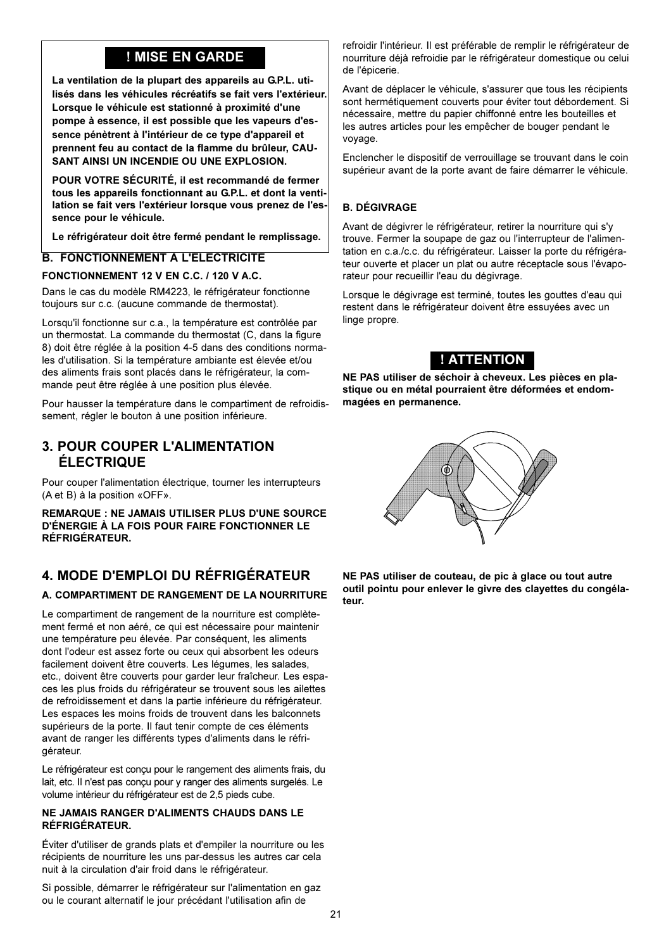### ! MISE EN GARDE

La ventilation de la plupart des appareils au G.P.L. utilisés dans les véhicules récréatifs se fait vers l'extérieur. Lorsque le véhicule est stationné à proximité d'une pompe à essence, il est possible que les vapeurs d'essence pénètrent à l'intérieur de ce type d'appareil et prennent feu au contact de la flamme du brûleur. CAU-SANT AINSI UN INCENDIE OU UNE EXPLOSION.

POUR VOTRE SÉCURITÉ, il est recommandé de fermer tous les appareils fonctionnant au G.P.L. et dont la ventilation se fait vers l'extérieur lorsque vous prenez de l'essence pour le véhicule.

Le réfrigérateur doit être fermé pendant le remplissage.

#### **B. FONCTIONNEMENT À L'ÉLECTRICITÉ**

#### FONCTIONNEMENT 12 V EN C.C. / 120 V A.C.

Dans le cas du modèle RM4223, le réfrigérateur fonctionne toujours sur c.c. (aucune commande de thermostat).

Lorsqu'il fonctionne sur c.a., la température est contrôlée par un thermostat. La commande du thermostat (C, dans la figure 8) doit être réglée à la position 4-5 dans des conditions normales d'utilisation. Si la température ambiante est élevée et/ou des aliments frais sont placés dans le réfrigérateur, la commande peut être réglée à une position plus élevée.

Pour hausser la température dans le compartiment de refroidissement, régler le bouton à une position inférieure.

#### **3. POUR COUPER L'ALIMENTATION ÉLECTRIQUE**

Pour couper l'alimentation électrique, tourner les interrupteurs (A et B) à la position «OFF».

**REMARQUE : NE JAMAIS UTILISER PLUS D'UNE SOURCE** D'ÉNERGIE À LA FOIS POUR FAIRE FONCTIONNER LE **RÉFRIGÉRATEUR.** 

#### 4. MODE D'EMPLOI DU RÉFRIGÉRATEUR

#### A. COMPARTIMENT DE RANGEMENT DE LA NOURRITURE

Le compartiment de rangement de la nourriture est complètement fermé et non aéré, ce qui est nécessaire pour maintenir une température peu élevée. Par conséquent, les aliments dont l'odeur est assez forte ou ceux qui absorbent les odeurs facilement doivent être couverts. Les légumes, les salades, etc., doivent être couverts pour garder leur fraîcheur. Les espaces les plus froids du réfrigérateur se trouvent sous les ailettes de refroidissement et dans la partie inférieure du réfrigérateur. Les espaces les moins froids de trouvent dans les balconnets supérieurs de la porte. Il faut tenir compte de ces éléments avant de ranger les différents types d'aliments dans le réfrigérateur.

Le réfrigérateur est concu pour le rangement des aliments frais, du lait, etc. Il n'est pas conçu pour y ranger des aliments surgelés. Le volume intérieur du réfrigérateur est de 2.5 pieds cube.

#### NE JAMAIS RANGER D'ALIMENTS CHAUDS DANS LE RÉFRIGÉRATEUR.

Éviter d'utiliser de grands plats et d'empiler la nourriture ou les récipients de nourriture les uns par-dessus les autres car cela nuit à la circulation d'air froid dans le réfrigérateur.

Si possible, démarrer le réfrigérateur sur l'alimentation en gaz ou le courant alternatif le jour précédant l'utilisation afin de

refroidir l'intérieur. Il est préférable de remplir le réfrigérateur de nourriture déjà refroidie par le réfrigérateur domestique ou celui de l'épicerie.

Avant de déplacer le véhicule, s'assurer que tous les récipients sont hermétiquement couverts pour éviter tout débordement. Si nécessaire, mettre du papier chiffonné entre les bouteilles et les autres articles pour les empêcher de bouger pendant le vovage.

Enclencher le dispositif de verrouillage se trouvant dans le coin supérieur avant de la porte avant de faire démarrer le véhicule.

#### **B. DÉGIVRAGE**

Avant de dégivrer le réfrigérateur, retirer la nourriture qui s'y trouve. Fermer la soupape de gaz ou l'interrupteur de l'alimentation en c.a./c.c. du réfrigérateur. Laisser la porte du réfrigérateur ouverte et placer un plat ou autre réceptacle sous l'évaporateur pour recueillir l'eau du dégivrage.

Lorsque le dégivrage est terminé, toutes les gouttes d'eau qui restent dans le réfrigérateur doivent être essuyées avec un linge propre.

### ! ATTENTION

NE PAS utiliser de séchoir à cheveux. Les pièces en plastique ou en métal pourraient être déformées et endommagées en permanence.



NE PAS utiliser de couteau, de pic à glace ou tout autre outil pointu pour enlever le givre des clayettes du congélateur.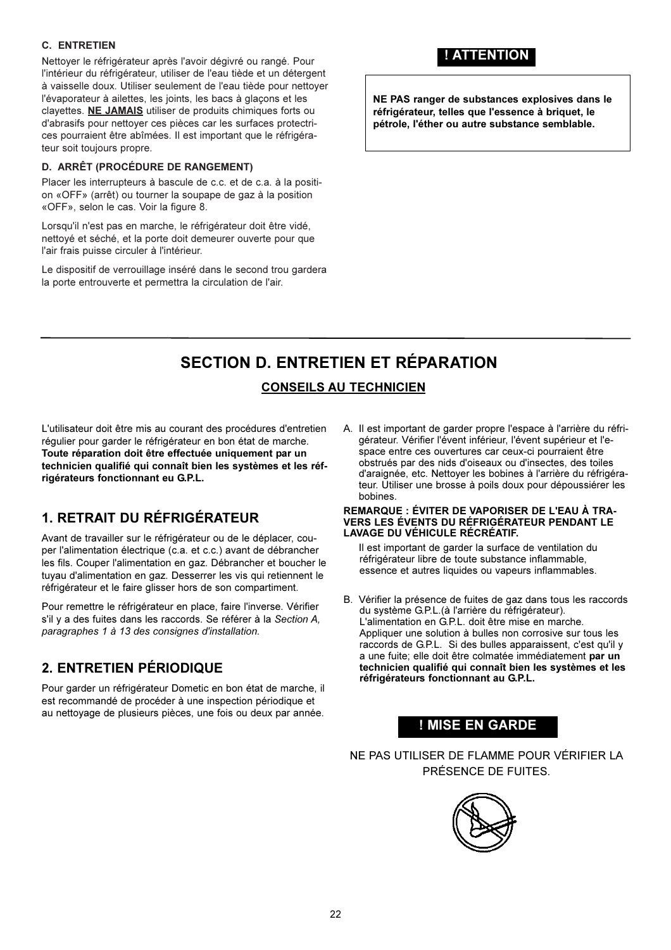#### **C. ENTRETIEN**

Nettoyer le réfrigérateur après l'avoir dégivré ou rangé. Pour l'intérieur du réfrigérateur, utiliser de l'eau tiède et un détergent à vaisselle doux. Utiliser seulement de l'eau tiède pour nettoyer l'évaporateur à ailettes, les joints, les bacs à glaçons et les clayettes. NE JAMAIS utiliser de produits chimiques forts ou d'abrasifs pour nettoyer ces pièces car les surfaces protectrices pourraient être abîmées. Il est important que le réfrigérateur soit toujours propre.

#### **D. ARRÊT (PROCÉDURE DE RANGEMENT)**

Placer les interrupteurs à bascule de c.c. et de c.a. à la position «OFF» (arrêt) ou tourner la soupape de gaz à la position «OFF», selon le cas. Voir la figure 8.

Lorsqu'il n'est pas en marche, le réfrigérateur doit être vidé, nettoyé et séché, et la porte doit demeurer ouverte pour que l'air frais puisse circuler à l'intérieur.

Le dispositif de verrouillage inséré dans le second trou gardera la porte entrouverte et permettra la circulation de l'air.

### ! ATTENTION

NE PAS ranger de substances explosives dans le réfrigérateur, telles que l'essence à briquet, le pétrole, l'éther ou autre substance semblable.

# **SECTION D. ENTRETIEN ET RÉPARATION**

### **CONSEILS AU TECHNICIEN**

L'utilisateur doit être mis au courant des procédures d'entretien régulier pour garder le réfrigérateur en bon état de marche. Toute réparation doit être effectuée uniquement par un technicien qualifié qui connaît bien les systèmes et les réfrigérateurs fonctionnant eu G.P.L.

### 1. RETRAIT DU RÉFRIGÉRATEUR

Avant de travailler sur le réfrigérateur ou de le déplacer, couper l'alimentation électrique (c.a. et c.c.) avant de débrancher les fils. Couper l'alimentation en gaz. Débrancher et boucher le tuvau d'alimentation en gaz. Desserrer les vis qui retiennent le réfrigérateur et le faire glisser hors de son compartiment.

Pour remettre le réfrigérateur en place, faire l'inverse. Vérifier s'il y a des fuites dans les raccords. Se référer à la Section A, paragraphes 1 à 13 des consignes d'installation.

### 2. ENTRETIEN PÉRIODIQUE

Pour garder un réfrigérateur Dometic en bon état de marche, il est recommandé de procéder à une inspection périodique et au nettovage de plusieurs pièces, une fois ou deux par année.

A. Il est important de garder propre l'espace à l'arrière du réfrigérateur. Vérifier l'évent inférieur. l'évent supérieur et l'espace entre ces ouvertures car ceux-ci pourraient être obstrués par des nids d'oiseaux ou d'insectes, des toiles d'araignée, etc. Nettoyer les bobines à l'arrière du réfrigérateur. Utiliser une brosse à poils doux pour dépoussiérer les bobines.

#### **REMARQUE : ÉVITER DE VAPORISER DE L'EAU À TRA-**VERS LES ÉVENTS DU RÉFRIGÉRATEUR PENDANT LE LAVAGE DU VÉHICULE RÉCRÉATIF.

Il est important de garder la surface de ventilation du réfrigérateur libre de toute substance inflammable, essence et autres liquides ou vapeurs inflammables.

B. Vérifier la présence de fuites de gaz dans tous les raccords du système G.P.L. (à l'arrière du réfrigérateur). L'alimentation en G.P.L. doit être mise en marche. Appliquer une solution à bulles non corrosive sur tous les raccords de G.P.L. Si des bulles apparaissent, c'est qu'il y a une fuite; elle doit être colmatée immédiatement par un technicien qualifié qui connaît bien les systèmes et les réfrigérateurs fonctionnant au G.P.L.

### ! MISE EN GARDE

NE PAS UTILISER DE FLAMME POUR VÉRIFIER LA PRÉSENCE DE FUITES.

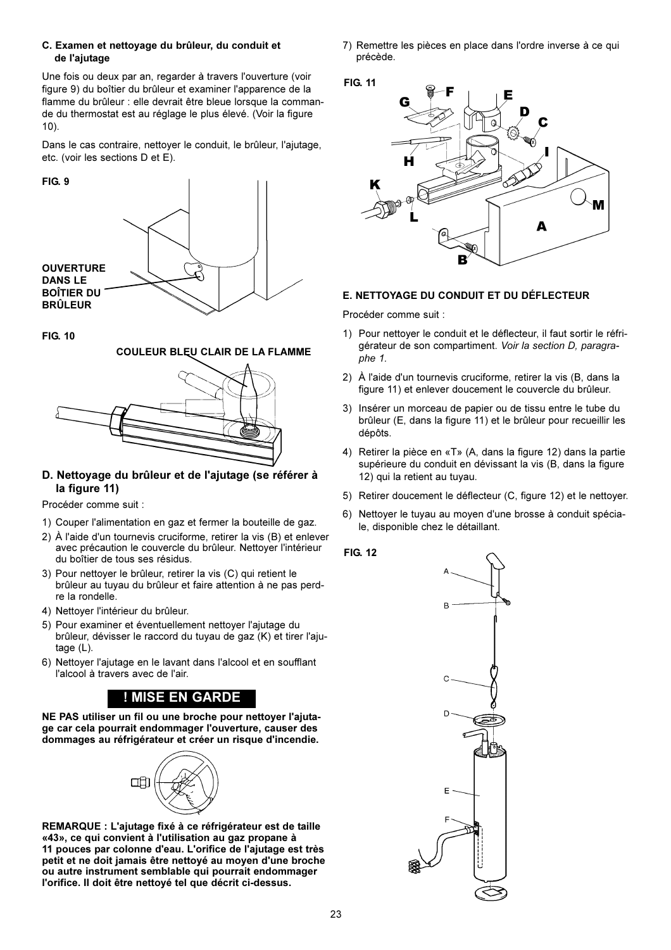#### C. Examen et nettoyage du brûleur, du conduit et de l'ajutage

Une fois ou deux par an, regarder à travers l'ouverture (voir figure 9) du boîtier du brûleur et examiner l'apparence de la flamme du brûleur : elle devrait être bleue lorsque la commande du thermostat est au réglage le plus élevé. (Voir la figure  $10$ ).

Dans le cas contraire, nettoyer le conduit, le brûleur, l'ajutage, etc. (voir les sections D et E).

#### FIG. 9



**FIG. 10** 

### **COULEUR BLEU CLAIR DE LA FLAMME**



#### D. Nettoyage du brûleur et de l'ajutage (se référer à la figure 11)

Procéder comme suit :

- 1) Couper l'alimentation en gaz et fermer la bouteille de gaz.
- 2) À l'aide d'un tournevis cruciforme, retirer la vis (B) et enlever avec précaution le couvercle du brûleur. Nettoyer l'intérieur du boîtier de tous ses résidus.
- 3) Pour nettoyer le brûleur, retirer la vis (C) qui retient le brûleur au tuyau du brûleur et faire attention à ne pas perdre la rondelle.
- 4) Nettoyer l'intérieur du brûleur.
- 5) Pour examiner et éventuellement nettoyer l'ajutage du brûleur, dévisser le raccord du tuyau de gaz (K) et tirer l'ajutage  $(L)$ .
- 6) Nettover l'aiutage en le lavant dans l'alcool et en soufflant l'alcool à travers avec de l'air.

### ! MISE EN GARDE

NE PAS utiliser un fil ou une broche pour nettoyer l'ajutage car cela pourrait endommager l'ouverture, causer des dommages au réfrigérateur et créer un risque d'incendie.



REMARQUE : L'aiutage fixé à ce réfrigérateur est de taille «43», ce qui convient à l'utilisation au gaz propane à 11 pouces par colonne d'eau. L'orifice de l'ajutage est très petit et ne doit jamais être nettoyé au moyen d'une broche ou autre instrument semblable qui pourrait endommager l'orifice. Il doit être nettoyé tel que décrit ci-dessus.

7) Remettre les pièces en place dans l'ordre inverse à ce qui précède.





#### E. NETTOYAGE DU CONDUIT ET DU DÉFLECTEUR

Procéder comme suit :

- 1) Pour nettoyer le conduit et le déflecteur, il faut sortir le réfrigérateur de son compartiment. Voir la section D, paragraphe 1.
- 2) À l'aide d'un tournevis cruciforme, retirer la vis (B, dans la figure 11) et enlever doucement le couvercle du brûleur.
- 3) Insérer un morceau de papier ou de tissu entre le tube du brûleur (E, dans la figure 11) et le brûleur pour recueillir les dépôts.
- 4) Retirer la pièce en «T» (A, dans la figure 12) dans la partie supérieure du conduit en dévissant la vis (B, dans la figure 12) qui la retient au tuyau.
- 5) Retirer doucement le déflecteur (C, figure 12) et le nettoyer.
- 6) Nettoyer le tuyau au moyen d'une brosse à conduit spéciale, disponible chez le détaillant.

#### **FIG 12**